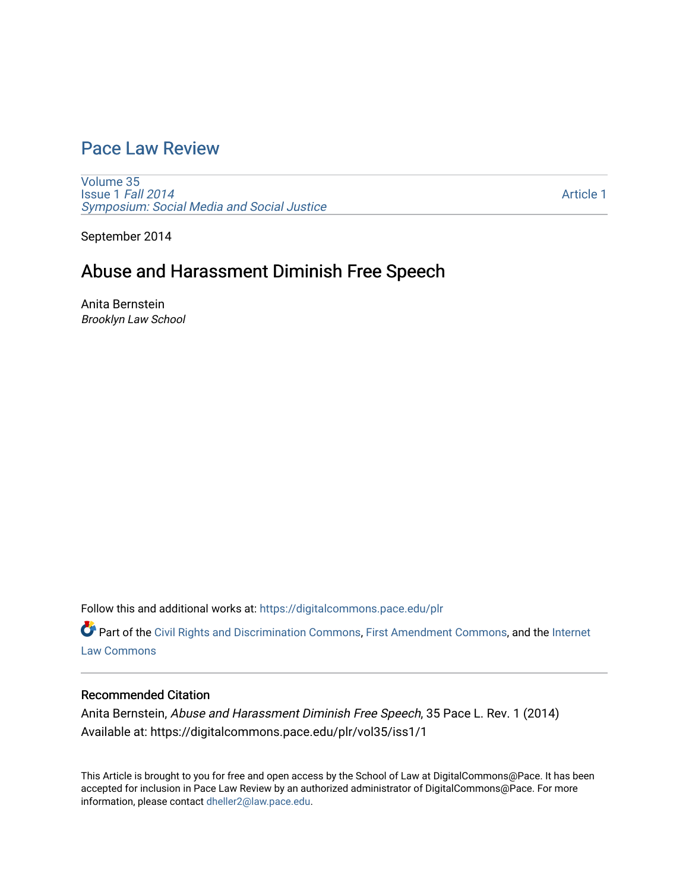# [Pace Law Review](https://digitalcommons.pace.edu/plr)

[Volume 35](https://digitalcommons.pace.edu/plr/vol35) [Issue 1](https://digitalcommons.pace.edu/plr/vol35/iss1) Fall 2014 [Symposium: Social Media and Social Justice](https://digitalcommons.pace.edu/plr/vol35/iss1) 

[Article 1](https://digitalcommons.pace.edu/plr/vol35/iss1/1) 

September 2014

# Abuse and Harassment Diminish Free Speech

Anita Bernstein Brooklyn Law School

Follow this and additional works at: [https://digitalcommons.pace.edu/plr](https://digitalcommons.pace.edu/plr?utm_source=digitalcommons.pace.edu%2Fplr%2Fvol35%2Fiss1%2F1&utm_medium=PDF&utm_campaign=PDFCoverPages)

Part of the [Civil Rights and Discrimination Commons,](http://network.bepress.com/hgg/discipline/585?utm_source=digitalcommons.pace.edu%2Fplr%2Fvol35%2Fiss1%2F1&utm_medium=PDF&utm_campaign=PDFCoverPages) [First Amendment Commons,](http://network.bepress.com/hgg/discipline/1115?utm_source=digitalcommons.pace.edu%2Fplr%2Fvol35%2Fiss1%2F1&utm_medium=PDF&utm_campaign=PDFCoverPages) and the [Internet](http://network.bepress.com/hgg/discipline/892?utm_source=digitalcommons.pace.edu%2Fplr%2Fvol35%2Fiss1%2F1&utm_medium=PDF&utm_campaign=PDFCoverPages)  [Law Commons](http://network.bepress.com/hgg/discipline/892?utm_source=digitalcommons.pace.edu%2Fplr%2Fvol35%2Fiss1%2F1&utm_medium=PDF&utm_campaign=PDFCoverPages) 

# Recommended Citation

Anita Bernstein, Abuse and Harassment Diminish Free Speech, 35 Pace L. Rev. 1 (2014) Available at: https://digitalcommons.pace.edu/plr/vol35/iss1/1

This Article is brought to you for free and open access by the School of Law at DigitalCommons@Pace. It has been accepted for inclusion in Pace Law Review by an authorized administrator of DigitalCommons@Pace. For more information, please contact [dheller2@law.pace.edu.](mailto:dheller2@law.pace.edu)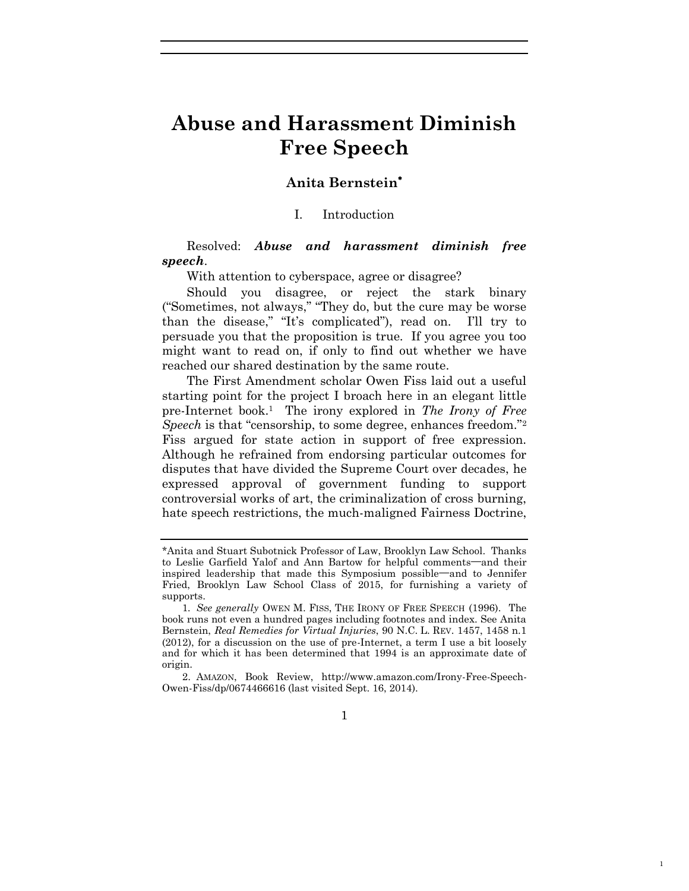# **Abuse and Harassment Diminish Free Speech**

# **Anita Bernstein**

#### I. Introduction

Resolved: *Abuse and harassment diminish free speech*.

With attention to cyberspace, agree or disagree?

Should you disagree, or reject the stark binary ("Sometimes, not always," "They do, but the cure may be worse than the disease," "It's complicated"), read on. I'll try to persuade you that the proposition is true. If you agree you too might want to read on, if only to find out whether we have reached our shared destination by the same route.

The First Amendment scholar Owen Fiss laid out a useful starting point for the project I broach here in an elegant little pre-Internet book.<sup>1</sup> The irony explored in *The Irony of Free Speech* is that "censorship, to some degree, enhances freedom."<sup>2</sup> Fiss argued for state action in support of free expression. Although he refrained from endorsing particular outcomes for disputes that have divided the Supreme Court over decades, he expressed approval of government funding to support controversial works of art, the criminalization of cross burning, hate speech restrictions, the much-maligned Fairness Doctrine,

1

1

<sup>\*</sup>Anita and Stuart Subotnick Professor of Law, Brooklyn Law School. Thanks to Leslie Garfield Yalof and Ann Bartow for helpful comments**—**and their inspired leadership that made this Symposium possible**—**and to Jennifer Fried, Brooklyn Law School Class of 2015, for furnishing a variety of supports.

<sup>1</sup>*. See generally* OWEN M. FISS, THE IRONY OF FREE SPEECH (1996). The book runs not even a hundred pages including footnotes and index. See Anita Bernstein, *Real Remedies for Virtual Injuries*, 90 N.C. L. REV. 1457, 1458 n.1 (2012), for a discussion on the use of pre-Internet, a term I use a bit loosely and for which it has been determined that 1994 is an approximate date of origin.

<sup>2.</sup> AMAZON, Book Review, http://www.amazon.com/Irony-Free-Speech-Owen-Fiss/dp/0674466616 (last visited Sept. 16, 2014).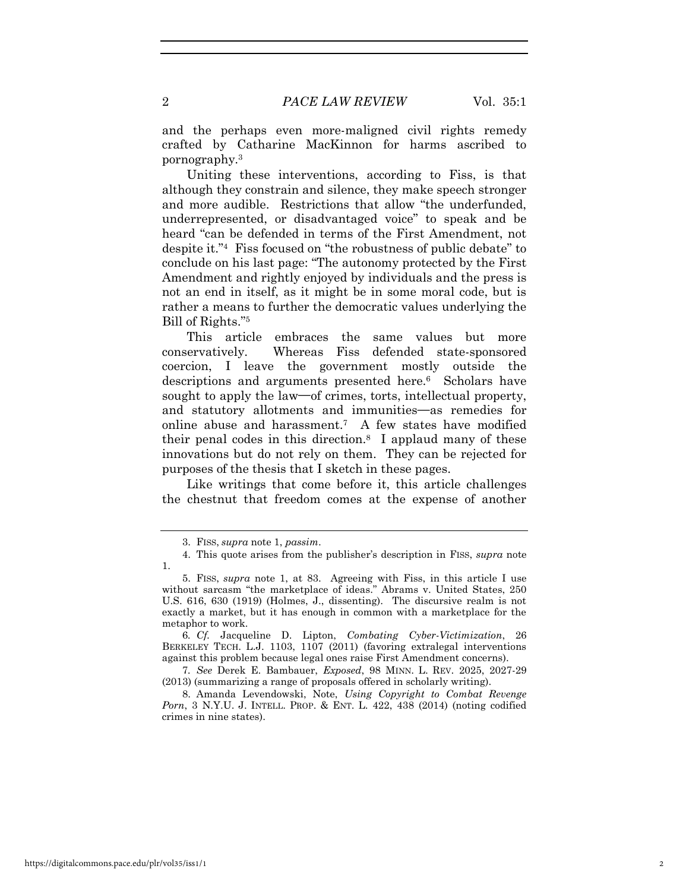and the perhaps even more-maligned civil rights remedy crafted by Catharine MacKinnon for harms ascribed to pornography.<sup>3</sup>

Uniting these interventions, according to Fiss, is that although they constrain and silence, they make speech stronger and more audible. Restrictions that allow "the underfunded, underrepresented, or disadvantaged voice" to speak and be heard "can be defended in terms of the First Amendment, not despite it."<sup>4</sup> Fiss focused on "the robustness of public debate" to conclude on his last page: "The autonomy protected by the First Amendment and rightly enjoyed by individuals and the press is not an end in itself, as it might be in some moral code, but is rather a means to further the democratic values underlying the Bill of Rights."<sup>5</sup>

This article embraces the same values but more conservatively. Whereas Fiss defended state-sponsored coercion, I leave the government mostly outside the descriptions and arguments presented here.<sup>6</sup> Scholars have sought to apply the law**—**of crimes, torts, intellectual property, and statutory allotments and immunities**—**as remedies for online abuse and harassment.<sup>7</sup> A few states have modified their penal codes in this direction.<sup>8</sup> I applaud many of these innovations but do not rely on them. They can be rejected for purposes of the thesis that I sketch in these pages.

Like writings that come before it, this article challenges the chestnut that freedom comes at the expense of another

<sup>3.</sup> FISS, *supra* note 1, *passim*.

<sup>4.</sup> This quote arises from the publisher's description in FISS, *supra* note 1.

<sup>5.</sup> FISS, *supra* note 1, at 83. Agreeing with Fiss, in this article I use without sarcasm "the marketplace of ideas." Abrams v. United States, 250 U.S. 616, 630 (1919) (Holmes, J., dissenting). The discursive realm is not exactly a market, but it has enough in common with a marketplace for the metaphor to work.

<sup>6</sup>*. Cf.* Jacqueline D. Lipton, *Combating Cyber-Victimization*, 26 BERKELEY TECH. L.J. 1103, 1107 (2011) (favoring extralegal interventions against this problem because legal ones raise First Amendment concerns).

<sup>7</sup>*. See* Derek E. Bambauer, *Exposed*, 98 MINN. L. REV. 2025, 2027-29 (2013) (summarizing a range of proposals offered in scholarly writing).

<sup>8.</sup> Amanda Levendowski, Note, *Using Copyright to Combat Revenge Porn*, 3 N.Y.U. J. INTELL. PROP. & ENT. L. 422, 438 (2014) (noting codified crimes in nine states).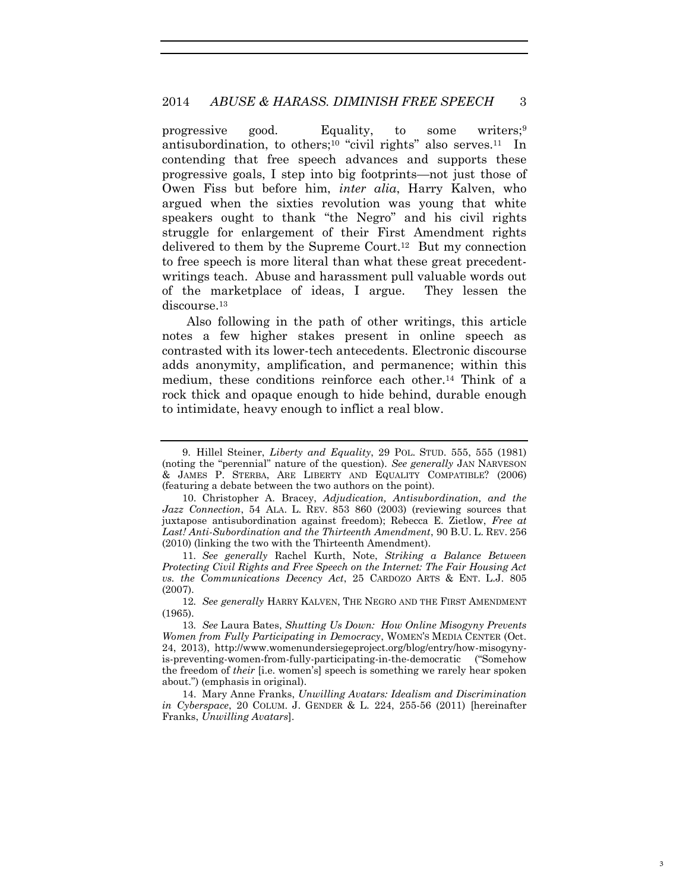progressive good. Equality, to some writers;<sup>9</sup> antisubordination, to others;<sup>10</sup> "civil rights" also serves.<sup>11</sup> In contending that free speech advances and supports these progressive goals, I step into big footprints—not just those of Owen Fiss but before him, *inter alia*, Harry Kalven, who argued when the sixties revolution was young that white speakers ought to thank "the Negro" and his civil rights struggle for enlargement of their First Amendment rights delivered to them by the Supreme Court.<sup>12</sup> But my connection to free speech is more literal than what these great precedentwritings teach. Abuse and harassment pull valuable words out of the marketplace of ideas, I argue. They lessen the discourse.<sup>13</sup>

Also following in the path of other writings, this article notes a few higher stakes present in online speech as contrasted with its lower-tech antecedents. Electronic discourse adds anonymity, amplification, and permanence; within this medium, these conditions reinforce each other.<sup>14</sup> Think of a rock thick and opaque enough to hide behind, durable enough to intimidate, heavy enough to inflict a real blow.

11*. See generally* Rachel Kurth, Note, *Striking a Balance Between Protecting Civil Rights and Free Speech on the Internet: The Fair Housing Act vs. the Communications Decency Act*, 25 CARDOZO ARTS & ENT. L.J. 805 (2007).

14. Mary Anne Franks, *Unwilling Avatars: Idealism and Discrimination in Cyberspace*, 20 COLUM. J. GENDER & L. 224, 255-56 (2011) [hereinafter Franks, *Unwilling Avatars*].

<sup>9.</sup> Hillel Steiner, *Liberty and Equality*, 29 POL. STUD. 555, 555 (1981) (noting the "perennial" nature of the question). *See generally* JAN NARVESON & JAMES P. STERBA, ARE LIBERTY AND EQUALITY COMPATIBLE? (2006) (featuring a debate between the two authors on the point).

<sup>10.</sup> Christopher A. Bracey, *Adjudication, Antisubordination, and the Jazz Connection*, 54 ALA. L. REV. 853 860 (2003) (reviewing sources that juxtapose antisubordination against freedom); Rebecca E. Zietlow, *Free at Last! Anti-Subordination and the Thirteenth Amendment*, 90 B.U. L. REV. 256 (2010) (linking the two with the Thirteenth Amendment).

<sup>12</sup>*. See generally* HARRY KALVEN, THE NEGRO AND THE FIRST AMENDMENT (1965).

<sup>13</sup>*. See* Laura Bates, *Shutting Us Down: How Online Misogyny Prevents Women from Fully Participating in Democracy*, WOMEN'S MEDIA CENTER (Oct. 24, 2013), http://www.womenundersiegeproject.org/blog/entry/how-misogynyis-preventing-women-from-fully-participating-in-the-democratic ("Somehow the freedom of *their* [i.e. women's] speech is something we rarely hear spoken about.") (emphasis in original).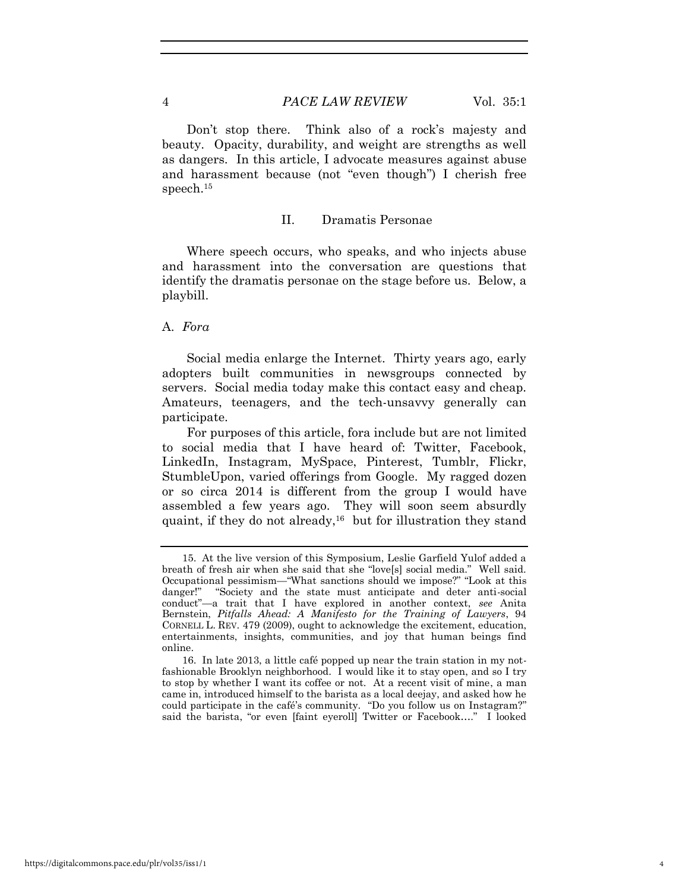Don't stop there. Think also of a rock's majesty and beauty. Opacity, durability, and weight are strengths as well as dangers. In this article, I advocate measures against abuse and harassment because (not "even though") I cherish free speech.<sup>15</sup>

#### II. Dramatis Personae

Where speech occurs, who speaks, and who injects abuse and harassment into the conversation are questions that identify the dramatis personae on the stage before us. Below, a playbill.

## A. *Fora*

Social media enlarge the Internet. Thirty years ago, early adopters built communities in newsgroups connected by servers. Social media today make this contact easy and cheap. Amateurs, teenagers, and the tech-unsavvy generally can participate.

For purposes of this article, fora include but are not limited to social media that I have heard of: Twitter, Facebook, LinkedIn, Instagram, MySpace, Pinterest, Tumblr, Flickr, StumbleUpon, varied offerings from Google. My ragged dozen or so circa 2014 is different from the group I would have assembled a few years ago. They will soon seem absurdly quaint, if they do not already,<sup>16</sup> but for illustration they stand

<sup>15.</sup> At the live version of this Symposium, Leslie Garfield Yulof added a breath of fresh air when she said that she "love[s] social media." Well said. Occupational pessimism—"What sanctions should we impose?" "Look at this danger!" "Society and the state must anticipate and deter anti-social conduct"—a trait that I have explored in another context, *see* Anita Bernstein, *Pitfalls Ahead: A Manifesto for the Training of Lawyers*, 94 CORNELL L. REV. 479 (2009), ought to acknowledge the excitement, education, entertainments, insights, communities, and joy that human beings find online.

<sup>16.</sup> In late 2013, a little café popped up near the train station in my notfashionable Brooklyn neighborhood. I would like it to stay open, and so I try to stop by whether I want its coffee or not. At a recent visit of mine, a man came in, introduced himself to the barista as a local deejay, and asked how he could participate in the café's community. "Do you follow us on Instagram?" said the barista, "or even [faint eyeroll] Twitter or Facebook…." I looked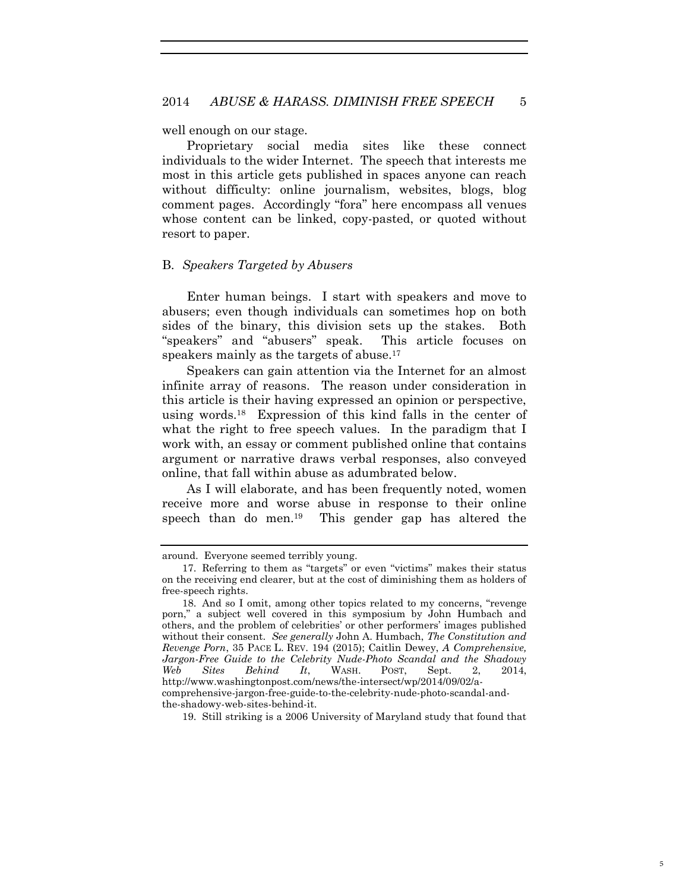well enough on our stage.

Proprietary social media sites like these connect individuals to the wider Internet. The speech that interests me most in this article gets published in spaces anyone can reach without difficulty: online journalism, websites, blogs, blog comment pages. Accordingly "fora" here encompass all venues whose content can be linked, copy-pasted, or quoted without resort to paper.

#### B. *Speakers Targeted by Abusers*

Enter human beings. I start with speakers and move to abusers; even though individuals can sometimes hop on both sides of the binary, this division sets up the stakes. Both "speakers" and "abusers" speak. This article focuses on speakers mainly as the targets of abuse.<sup>17</sup>

Speakers can gain attention via the Internet for an almost infinite array of reasons. The reason under consideration in this article is their having expressed an opinion or perspective, using words.<sup>18</sup> Expression of this kind falls in the center of what the right to free speech values. In the paradigm that I work with, an essay or comment published online that contains argument or narrative draws verbal responses, also conveyed online, that fall within abuse as adumbrated below.

As I will elaborate, and has been frequently noted, women receive more and worse abuse in response to their online speech than do men.<sup>19</sup> This gender gap has altered the

around. Everyone seemed terribly young.

<sup>17.</sup> Referring to them as "targets" or even "victims" makes their status on the receiving end clearer, but at the cost of diminishing them as holders of free-speech rights.

<sup>18.</sup> And so I omit, among other topics related to my concerns, "revenge porn," a subject well covered in this symposium by John Humbach and others, and the problem of celebrities' or other performers' images published without their consent. *See generally* John A. Humbach, *The Constitution and Revenge Porn*, 35 PACE L. REV. 194 (2015); Caitlin Dewey, *A Comprehensive, Jargon-Free Guide to the Celebrity Nude-Photo Scandal and the Shadowy Web Sites Behind It*, WASH. POST, Sept. 2, 2014, http://www.washingtonpost.com/news/the-intersect/wp/2014/09/02/acomprehensive-jargon-free-guide-to-the-celebrity-nude-photo-scandal-andthe-shadowy-web-sites-behind-it.

<sup>19.</sup> Still striking is a 2006 University of Maryland study that found that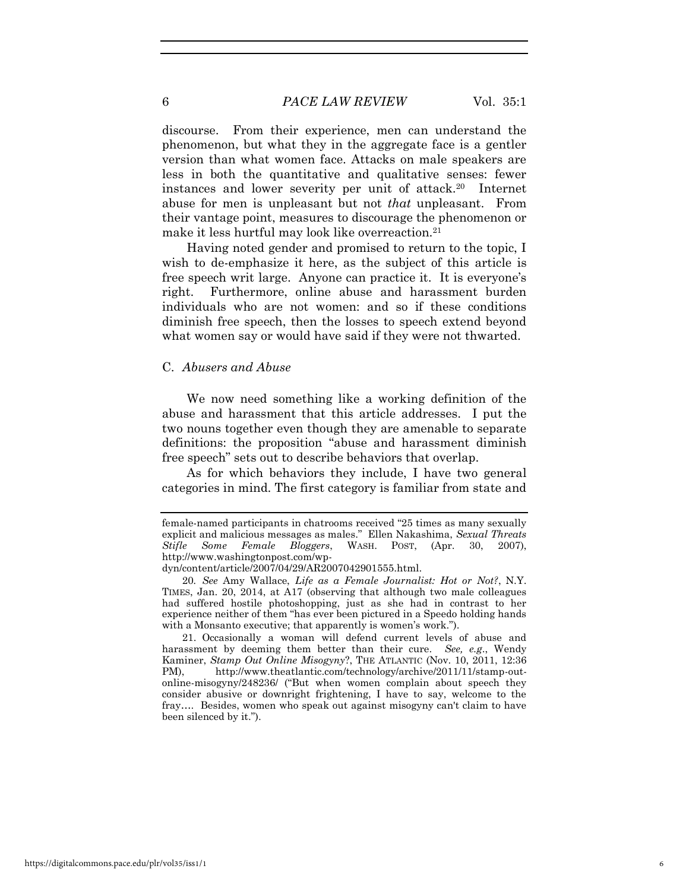#### 6 *PACE LAW REVIEW* Vol. 35:1

discourse. From their experience, men can understand the phenomenon, but what they in the aggregate face is a gentler version than what women face. Attacks on male speakers are less in both the quantitative and qualitative senses: fewer instances and lower severity per unit of attack.<sup>20</sup> Internet abuse for men is unpleasant but not *that* unpleasant. From their vantage point, measures to discourage the phenomenon or make it less hurtful may look like overreaction.<sup>21</sup>

Having noted gender and promised to return to the topic, I wish to de-emphasize it here, as the subject of this article is free speech writ large. Anyone can practice it. It is everyone's right. Furthermore, online abuse and harassment burden individuals who are not women: and so if these conditions diminish free speech, then the losses to speech extend beyond what women say or would have said if they were not thwarted.

#### C. *Abusers and Abuse*

We now need something like a working definition of the abuse and harassment that this article addresses. I put the two nouns together even though they are amenable to separate definitions: the proposition "abuse and harassment diminish free speech" sets out to describe behaviors that overlap.

As for which behaviors they include, I have two general categories in mind. The first category is familiar from state and

21. Occasionally a woman will defend current levels of abuse and harassment by deeming them better than their cure. *See, e.g*., Wendy Kaminer, *Stamp Out Online Misogyny*?, THE ATLANTIC (Nov. 10, 2011, 12:36 PM), http://www.theatlantic.com/technology/archive/2011/11/stamp-outonline-misogyny/248236/ ("But when women complain about speech they consider abusive or downright frightening, I have to say, welcome to the fray…. Besides, women who speak out against misogyny can't claim to have been silenced by it.").

female-named participants in chatrooms received "25 times as many sexually explicit and malicious messages as males." Ellen Nakashima, *Sexual Threats Stifle Some Female Bloggers*, WASH. POST, (Apr. 30, 2007), http://www.washingtonpost.com/wp-

dyn/content/article/2007/04/29/AR2007042901555.html.

<sup>20</sup>*. See* Amy Wallace, *Life as a Female Journalist: Hot or Not?*, N.Y. TIMES, Jan. 20, 2014, at A17 (observing that although two male colleagues had suffered hostile photoshopping, just as she had in contrast to her experience neither of them "has ever been pictured in a Speedo holding hands with a Monsanto executive; that apparently is women's work.").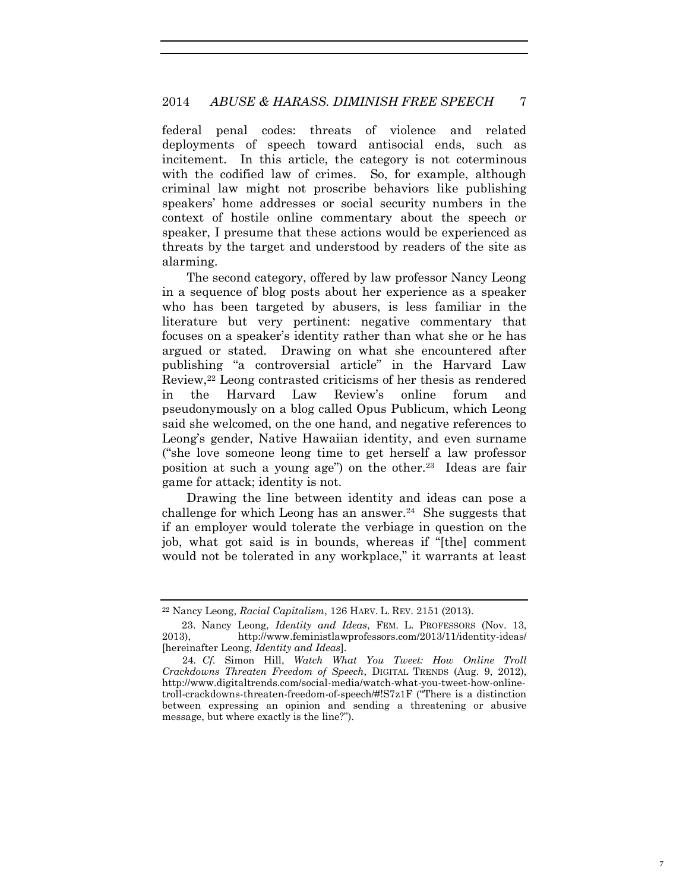federal penal codes: threats of violence and related deployments of speech toward antisocial ends, such as incitement. In this article, the category is not coterminous with the codified law of crimes. So, for example, although criminal law might not proscribe behaviors like publishing speakers' home addresses or social security numbers in the context of hostile online commentary about the speech or speaker, I presume that these actions would be experienced as threats by the target and understood by readers of the site as alarming.

The second category, offered by law professor Nancy Leong in a sequence of blog posts about her experience as a speaker who has been targeted by abusers, is less familiar in the literature but very pertinent: negative commentary that focuses on a speaker's identity rather than what she or he has argued or stated. Drawing on what she encountered after publishing "a controversial article" in the Harvard Law Review,22 Leong contrasted criticisms of her thesis as rendered in the Harvard Law Review's online forum and pseudonymously on a blog called Opus Publicum, which Leong said she welcomed, on the one hand, and negative references to Leong's gender, Native Hawaiian identity, and even surname ("she love someone leong time to get herself a law professor position at such a young age") on the other.<sup>23</sup> Ideas are fair game for attack; identity is not.

Drawing the line between identity and ideas can pose a challenge for which Leong has an answer.<sup>24</sup> She suggests that if an employer would tolerate the verbiage in question on the job, what got said is in bounds, whereas if "[the] comment would not be tolerated in any workplace," it warrants at least

<sup>22</sup> Nancy Leong, *Racial Capitalism*, 126 HARV. L. REV. 2151 (2013).

 <sup>23.</sup> Nancy Leong, *Identity and Ideas*, FEM. L. PROFESSORS (Nov. 13, 2013), http://www.feministlawprofessors.com/2013/11/identity-ideas/ [hereinafter Leong, *Identity and Ideas*].

<sup>24</sup>*. Cf.* Simon Hill, *Watch What You Tweet: How Online Troll Crackdowns Threaten Freedom of Speech*, DIGITAL TRENDS (Aug. 9, 2012), http://www.digitaltrends.com/social-media/watch-what-you-tweet-how-onlinetroll-crackdowns-threaten-freedom-of-speech/#!S7z1F ("There is a distinction between expressing an opinion and sending a threatening or abusive message, but where exactly is the line?").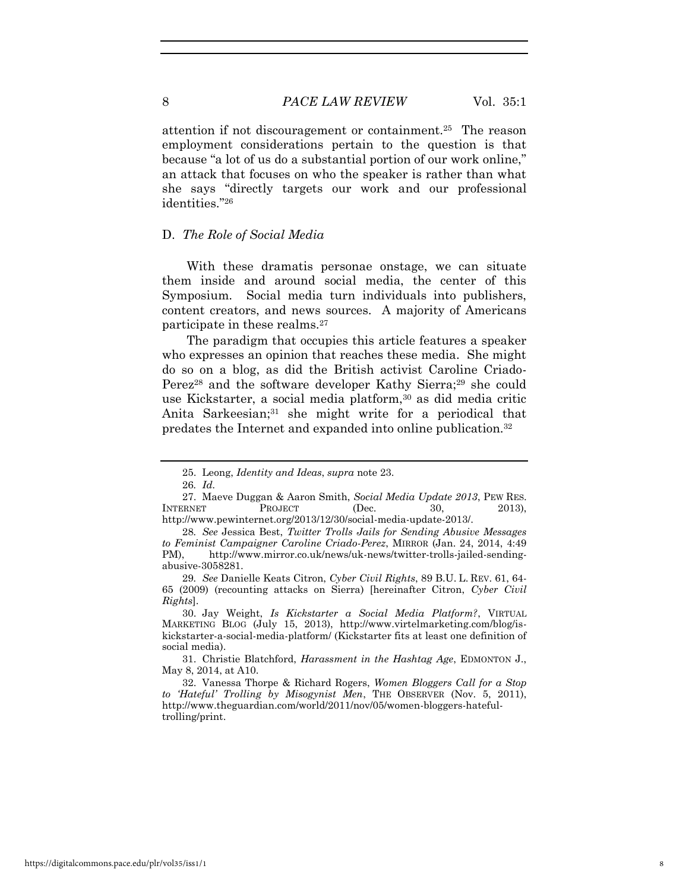attention if not discouragement or containment.<sup>25</sup> The reason employment considerations pertain to the question is that because "a lot of us do a substantial portion of our work online," an attack that focuses on who the speaker is rather than what she says "directly targets our work and our professional identities."<sup>26</sup>

#### D. *The Role of Social Media*

With these dramatis personae onstage, we can situate them inside and around social media, the center of this Symposium. Social media turn individuals into publishers, content creators, and news sources. A majority of Americans participate in these realms.<sup>27</sup>

The paradigm that occupies this article features a speaker who expresses an opinion that reaches these media. She might do so on a blog, as did the British activist Caroline Criado-Perez<sup>28</sup> and the software developer Kathy Sierra;<sup>29</sup> she could use Kickstarter, a social media platform,<sup>30</sup> as did media critic Anita Sarkeesian;31 she might write for a periodical that predates the Internet and expanded into online publication.<sup>32</sup>

<sup>25.</sup> Leong, *Identity and Ideas*, *supra* note 23.

<sup>26</sup>*. Id.*

<sup>27.</sup> Maeve Duggan & Aaron Smith, *Social Media Update 2013*, PEW RES. INTERNET PROJECT (Dec. 30, 2013), http://www.pewinternet.org/2013/12/30/social-media-update-2013/.

<sup>28</sup>*. See* Jessica Best, *Twitter Trolls Jails for Sending Abusive Messages to Feminist Campaigner Caroline Criado-Perez*, MIRROR (Jan. 24, 2014, 4:49 PM), http://www.mirror.co.uk/news/uk-news/twitter-trolls-jailed-sendingabusive-3058281.

<sup>29</sup>*. See* Danielle Keats Citron, *Cyber Civil Rights*, 89 B.U. L. REV. 61, 64- 65 (2009) (recounting attacks on Sierra) [hereinafter Citron, *Cyber Civil Rights*].

<sup>30.</sup> Jay Weight, *Is Kickstarter a Social Media Platform?*, VIRTUAL MARKETING BLOG (July 15, 2013), http://www.virtelmarketing.com/blog/iskickstarter-a-social-media-platform/ (Kickstarter fits at least one definition of social media).

<sup>31.</sup> Christie Blatchford, *Harassment in the Hashtag Age*, EDMONTON J., May 8, 2014, at A10.

<sup>32.</sup> Vanessa Thorpe & Richard Rogers, *Women Bloggers Call for a Stop*  to 'Hateful' Trolling by Misogynist Men, THE OBSERVER (Nov. 5, 2011), http://www.theguardian.com/world/2011/nov/05/women-bloggers-hatefultrolling/print.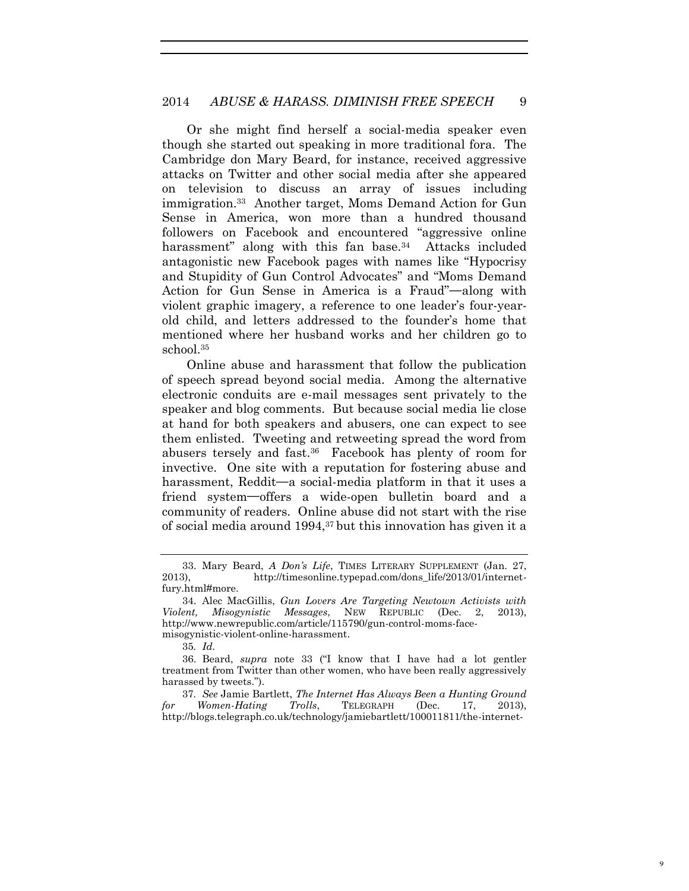Or she might find herself a social-media speaker even though she started out speaking in more traditional fora. The Cambridge don Mary Beard, for instance, received aggressive attacks on Twitter and other social media after she appeared on television to discuss an array of issues including immigration.<sup>33</sup> Another target, Moms Demand Action for Gun Sense in America, won more than a hundred thousand followers on Facebook and encountered "aggressive online harassment" along with this fan base.<sup>34</sup> Attacks included antagonistic new Facebook pages with names like "Hypocrisy and Stupidity of Gun Control Advocates" and "Moms Demand Action for Gun Sense in America is a Fraud"**—**along with violent graphic imagery, a reference to one leader's four-yearold child, and letters addressed to the founder's home that mentioned where her husband works and her children go to school.<sup>35</sup>

Online abuse and harassment that follow the publication of speech spread beyond social media. Among the alternative electronic conduits are e-mail messages sent privately to the speaker and blog comments. But because social media lie close at hand for both speakers and abusers, one can expect to see them enlisted. Tweeting and retweeting spread the word from abusers tersely and fast.<sup>36</sup> Facebook has plenty of room for invective. One site with a reputation for fostering abuse and harassment, Reddit**—**a social-media platform in that it uses a friend system**—**offers a wide-open bulletin board and a community of readers. Online abuse did not start with the rise of social media around 1994,<sup>37</sup> but this innovation has given it a

<sup>33.</sup> Mary Beard, *A Don's Life*, TIMES LITERARY SUPPLEMENT (Jan. 27, 2013), http://timesonline.typepad.com/dons\_life/2013/01/internetfury.html#more.

<sup>34.</sup> Alec MacGillis, *Gun Lovers Are Targeting Newtown Activists with Violent, Misogynistic Messages*, NEW REPUBLIC (Dec. 2, 2013), http://www.newrepublic.com/article/115790/gun-control-moms-facemisogynistic-violent-online-harassment.

<sup>35</sup>*. Id.*

<sup>36.</sup> Beard, *supra* note 33 ("I know that I have had a lot gentler treatment from Twitter than other women, who have been really aggressively harassed by tweets.").

<sup>37</sup>*. See* Jamie Bartlett, *The Internet Has Always Been a Hunting Ground for Women-Hating Trolls*, TELEGRAPH (Dec. 17, 2013), http://blogs.telegraph.co.uk/technology/jamiebartlett/100011811/the-internet-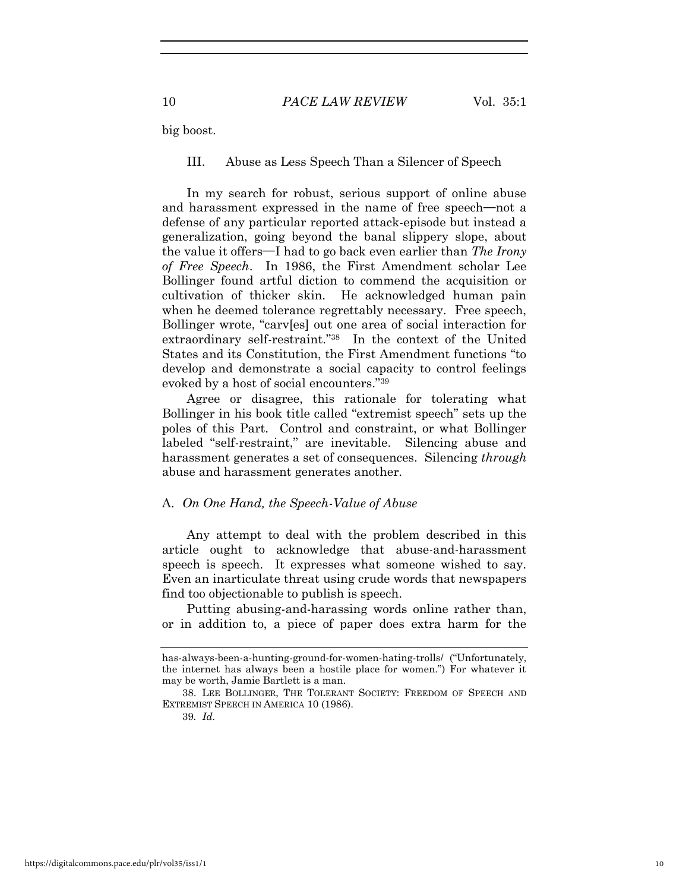big boost.

III. Abuse as Less Speech Than a Silencer of Speech

In my search for robust, serious support of online abuse and harassment expressed in the name of free speech**—**not a defense of any particular reported attack-episode but instead a generalization, going beyond the banal slippery slope, about the value it offers**—**I had to go back even earlier than *The Irony of Free Speech*. In 1986, the First Amendment scholar Lee Bollinger found artful diction to commend the acquisition or cultivation of thicker skin. He acknowledged human pain when he deemed tolerance regrettably necessary. Free speech, Bollinger wrote, "carv[es] out one area of social interaction for extraordinary self-restraint."<sup>38</sup> In the context of the United States and its Constitution, the First Amendment functions "to develop and demonstrate a social capacity to control feelings evoked by a host of social encounters."<sup>39</sup>

Agree or disagree, this rationale for tolerating what Bollinger in his book title called "extremist speech" sets up the poles of this Part. Control and constraint, or what Bollinger labeled "self-restraint," are inevitable. Silencing abuse and harassment generates a set of consequences. Silencing *through* abuse and harassment generates another.

#### A. *On One Hand, the Speech-Value of Abuse*

Any attempt to deal with the problem described in this article ought to acknowledge that abuse-and-harassment speech is speech. It expresses what someone wished to say. Even an inarticulate threat using crude words that newspapers find too objectionable to publish is speech.

Putting abusing-and-harassing words online rather than, or in addition to, a piece of paper does extra harm for the

has-always-been-a-hunting-ground-for-women-hating-trolls/ ("Unfortunately, the internet has always been a hostile place for women.") For whatever it may be worth, Jamie Bartlett is a man.

<sup>38.</sup> LEE BOLLINGER, THE TOLERANT SOCIETY: FREEDOM OF SPEECH AND EXTREMIST SPEECH IN AMERICA 10 (1986).

<sup>39</sup>*. Id.*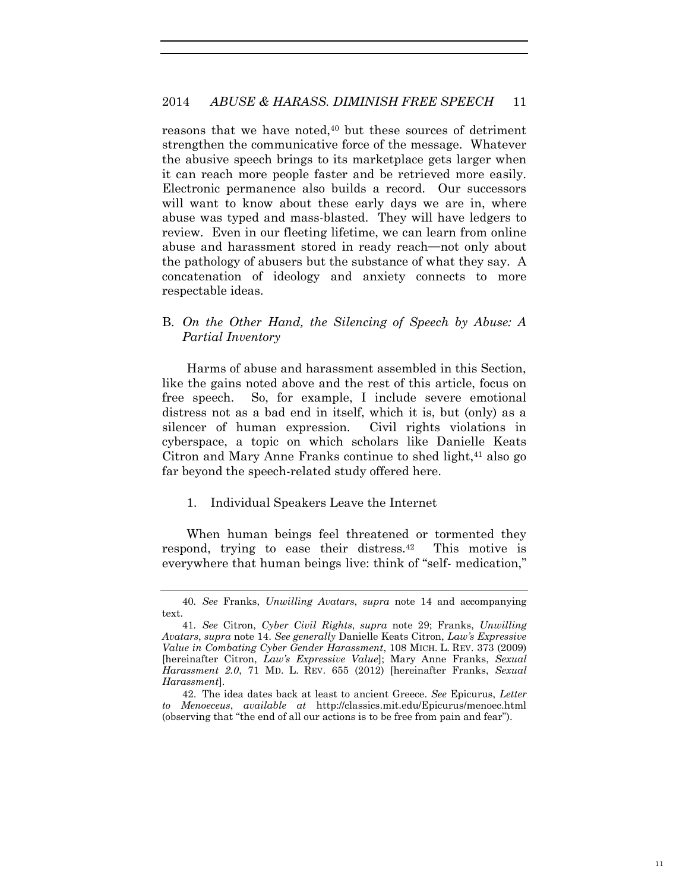reasons that we have noted,<sup>40</sup> but these sources of detriment strengthen the communicative force of the message. Whatever the abusive speech brings to its marketplace gets larger when it can reach more people faster and be retrieved more easily. Electronic permanence also builds a record. Our successors will want to know about these early days we are in, where abuse was typed and mass-blasted. They will have ledgers to review. Even in our fleeting lifetime, we can learn from online abuse and harassment stored in ready reach**—**not only about the pathology of abusers but the substance of what they say. A concatenation of ideology and anxiety connects to more respectable ideas.

B. *On the Other Hand, the Silencing of Speech by Abuse: A Partial Inventory* 

Harms of abuse and harassment assembled in this Section, like the gains noted above and the rest of this article, focus on free speech. So, for example, I include severe emotional distress not as a bad end in itself, which it is, but (only) as a silencer of human expression. Civil rights violations in cyberspace, a topic on which scholars like Danielle Keats Citron and Mary Anne Franks continue to shed light,  $41$  also go far beyond the speech-related study offered here.

1. Individual Speakers Leave the Internet

When human beings feel threatened or tormented they respond, trying to ease their distress.<sup>42</sup> This motive is everywhere that human beings live: think of "self- medication,"

<sup>40</sup>*. See* Franks, *Unwilling Avatars*, *supra* note 14 and accompanying text.

<sup>41</sup>*. See* Citron, *Cyber Civil Rights*, *supra* note 29; Franks, *Unwilling Avatars*, *supra* note 14. *See generally* Danielle Keats Citron, *Law's Expressive Value in Combating Cyber Gender Harassment*, 108 MICH. L. REV. 373 (2009) [hereinafter Citron, *Law's Expressive Value*]; Mary Anne Franks, *Sexual Harassment 2.0*, 71 MD. L. REV. 655 (2012) [hereinafter Franks, *Sexual Harassment*].

<sup>42.</sup> The idea dates back at least to ancient Greece. *See* Epicurus, *Letter to Menoeceus*, *available at* http://classics.mit.edu/Epicurus/menoec.html (observing that "the end of all our actions is to be free from pain and fear").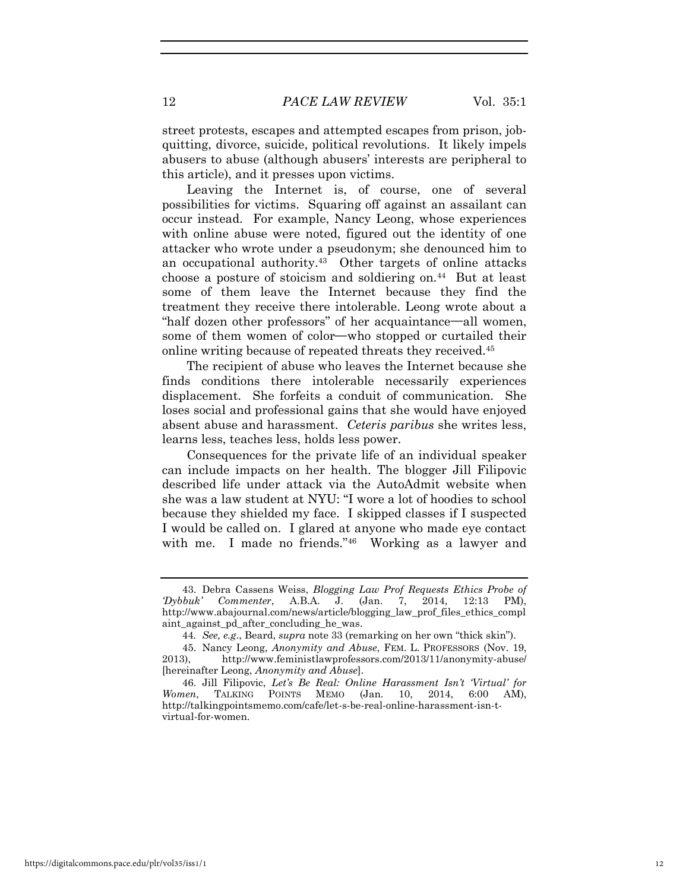street protests, escapes and attempted escapes from prison, jobquitting, divorce, suicide, political revolutions. It likely impels abusers to abuse (although abusers' interests are peripheral to this article), and it presses upon victims.

Leaving the Internet is, of course, one of several possibilities for victims. Squaring off against an assailant can occur instead. For example, Nancy Leong, whose experiences with online abuse were noted, figured out the identity of one attacker who wrote under a pseudonym; she denounced him to an occupational authority.<sup>43</sup> Other targets of online attacks choose a posture of stoicism and soldiering on.<sup>44</sup> But at least some of them leave the Internet because they find the treatment they receive there intolerable. Leong wrote about a "half dozen other professors" of her acquaintance**—**all women, some of them women of color**—**who stopped or curtailed their online writing because of repeated threats they received.<sup>45</sup>

The recipient of abuse who leaves the Internet because she finds conditions there intolerable necessarily experiences displacement. She forfeits a conduit of communication. She loses social and professional gains that she would have enjoyed absent abuse and harassment. *Ceteris paribus* she writes less, learns less, teaches less, holds less power.

Consequences for the private life of an individual speaker can include impacts on her health. The blogger Jill Filipovic described life under attack via the AutoAdmit website when she was a law student at NYU: "I wore a lot of hoodies to school because they shielded my face. I skipped classes if I suspected I would be called on. I glared at anyone who made eye contact with me. I made no friends."<sup>46</sup> Working as a lawyer and

<sup>43.</sup> Debra Cassens Weiss, *Blogging Law Prof Requests Ethics Probe of 'Dybbuk' Commenter*, A.B.A. J. (Jan. 7, 2014, 12:13 PM), http://www.abajournal.com/news/article/blogging\_law\_prof\_files\_ethics\_compl aint against pd after concluding he was.

<sup>44</sup>*. See, e.g*., Beard, *supra* note 33 (remarking on her own "thick skin").

<sup>45.</sup> Nancy Leong, *Anonymity and Abuse*, FEM. L. PROFESSORS (Nov. 19, 2013), http://www.feministlawprofessors.com/2013/11/anonymity-abuse/ [hereinafter Leong, *Anonymity and Abuse*].

<sup>46.</sup> Jill Filipovic, *Let's Be Real: Online Harassment Isn't 'Virtual' for Women*, TALKING POINTS MEMO (Jan. 10, 2014, 6:00 AM), http://talkingpointsmemo.com/cafe/let-s-be-real-online-harassment-isn-tvirtual-for-women.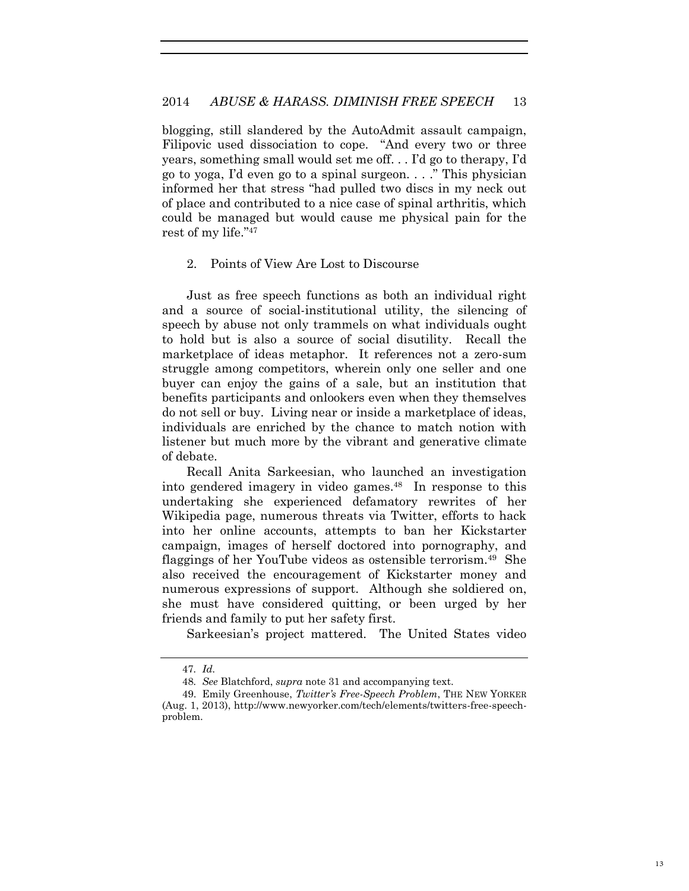blogging, still slandered by the AutoAdmit assault campaign, Filipovic used dissociation to cope. "And every two or three years, something small would set me off. . . I'd go to therapy, I'd go to yoga, I'd even go to a spinal surgeon. . . ." This physician informed her that stress "had pulled two discs in my neck out of place and contributed to a nice case of spinal arthritis, which could be managed but would cause me physical pain for the rest of my life."<sup>47</sup>

#### 2. Points of View Are Lost to Discourse

Just as free speech functions as both an individual right and a source of social-institutional utility, the silencing of speech by abuse not only trammels on what individuals ought to hold but is also a source of social disutility. Recall the marketplace of ideas metaphor. It references not a zero-sum struggle among competitors, wherein only one seller and one buyer can enjoy the gains of a sale, but an institution that benefits participants and onlookers even when they themselves do not sell or buy. Living near or inside a marketplace of ideas, individuals are enriched by the chance to match notion with listener but much more by the vibrant and generative climate of debate.

Recall Anita Sarkeesian, who launched an investigation into gendered imagery in video games.<sup>48</sup> In response to this undertaking she experienced defamatory rewrites of her Wikipedia page, numerous threats via Twitter, efforts to hack into her online accounts, attempts to ban her Kickstarter campaign, images of herself doctored into pornography, and flaggings of her YouTube videos as ostensible terrorism.<sup>49</sup> She also received the encouragement of Kickstarter money and numerous expressions of support. Although she soldiered on, she must have considered quitting, or been urged by her friends and family to put her safety first.

Sarkeesian's project mattered. The United States video

<sup>47</sup>*. Id.*

<sup>48</sup>*. See* Blatchford, *supra* note 31 and accompanying text.

<sup>49.</sup> Emily Greenhouse, *Twitter's Free-Speech Problem*, THE NEW YORKER (Aug. 1, 2013), http://www.newyorker.com/tech/elements/twitters-free-speechproblem.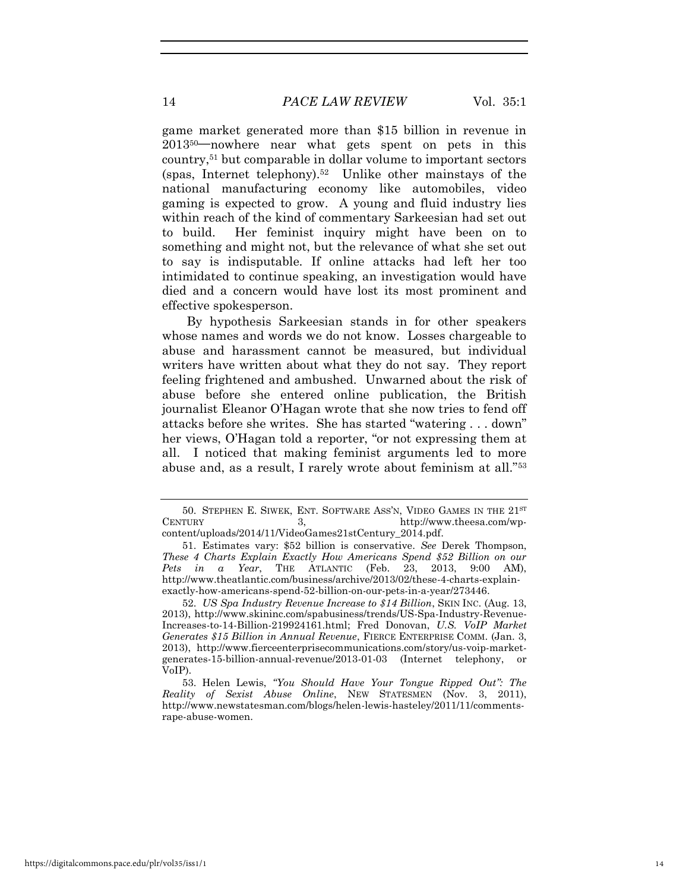game market generated more than \$15 billion in revenue in 201350**—**nowhere near what gets spent on pets in this country,51 but comparable in dollar volume to important sectors (spas, Internet telephony).<sup>52</sup> Unlike other mainstays of the national manufacturing economy like automobiles, video gaming is expected to grow. A young and fluid industry lies within reach of the kind of commentary Sarkeesian had set out to build. Her feminist inquiry might have been on to something and might not, but the relevance of what she set out to say is indisputable. If online attacks had left her too intimidated to continue speaking, an investigation would have died and a concern would have lost its most prominent and effective spokesperson.

By hypothesis Sarkeesian stands in for other speakers whose names and words we do not know. Losses chargeable to abuse and harassment cannot be measured, but individual writers have written about what they do not say. They report feeling frightened and ambushed. Unwarned about the risk of abuse before she entered online publication, the British journalist Eleanor O'Hagan wrote that she now tries to fend off attacks before she writes. She has started "watering . . . down" her views, O'Hagan told a reporter, "or not expressing them at all. I noticed that making feminist arguments led to more abuse and, as a result, I rarely wrote about feminism at all."<sup>53</sup>

<sup>50.</sup> STEPHEN E. SIWEK, ENT. SOFTWARE ASS'N, VIDEO GAMES IN THE 21ST CENTURY 3, http://www.theesa.com/wpcontent/uploads/2014/11/VideoGames21stCentury\_2014.pdf.

<sup>51.</sup> Estimates vary: \$52 billion is conservative. *See* Derek Thompson, *These 4 Charts Explain Exactly How Americans Spend \$52 Billion on our Pets in a Year*, THE ATLANTIC (Feb. 23, 2013, 9:00 AM), http://www.theatlantic.com/business/archive/2013/02/these-4-charts-explainexactly-how-americans-spend-52-billion-on-our-pets-in-a-year/273446.

<sup>52.</sup> *US Spa Industry Revenue Increase to \$14 Billion*, SKIN INC. (Aug. 13, 2013), http://www.skininc.com/spabusiness/trends/US-Spa-Industry-Revenue-Increases-to-14-Billion-219924161.html; Fred Donovan, *U.S. VoIP Market Generates \$15 Billion in Annual Revenue*, FIERCE ENTERPRISE COMM. (Jan. 3, 2013), http://www.fierceenterprisecommunications.com/story/us-voip-marketgenerates-15-billion-annual-revenue/2013-01-03 (Internet telephony, or VoIP).

<sup>53.</sup> Helen Lewis, *"You Should Have Your Tongue Ripped Out": The Reality of Sexist Abuse Online*, NEW STATESMEN (Nov. 3, 2011), http://www.newstatesman.com/blogs/helen-lewis-hasteley/2011/11/commentsrape-abuse-women.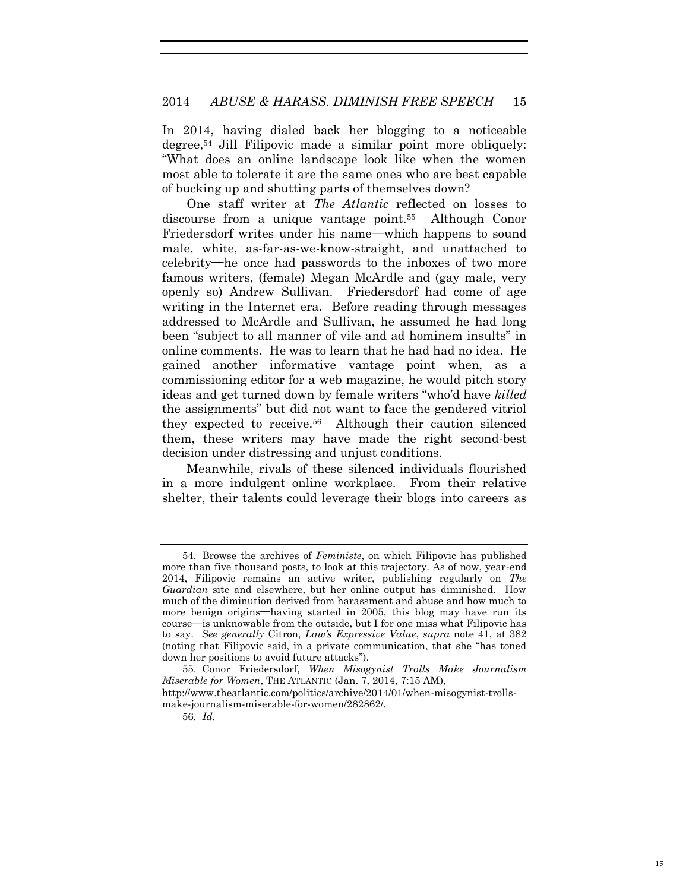In 2014, having dialed back her blogging to a noticeable degree,<sup>54</sup> Jill Filipovic made a similar point more obliquely: "What does an online landscape look like when the women most able to tolerate it are the same ones who are best capable of bucking up and shutting parts of themselves down?

One staff writer at *The Atlantic* reflected on losses to discourse from a unique vantage point.<sup>55</sup> Although Conor Friedersdorf writes under his name**—**which happens to sound male, white, as-far-as-we-know-straight, and unattached to celebrity**—**he once had passwords to the inboxes of two more famous writers, (female) Megan McArdle and (gay male, very openly so) Andrew Sullivan. Friedersdorf had come of age writing in the Internet era. Before reading through messages addressed to McArdle and Sullivan, he assumed he had long been "subject to all manner of vile and ad hominem insults" in online comments. He was to learn that he had had no idea. He gained another informative vantage point when, as a commissioning editor for a web magazine, he would pitch story ideas and get turned down by female writers "who'd have *killed* the assignments" but did not want to face the gendered vitriol they expected to receive.<sup>56</sup> Although their caution silenced them, these writers may have made the right second-best decision under distressing and unjust conditions.

Meanwhile, rivals of these silenced individuals flourished in a more indulgent online workplace. From their relative shelter, their talents could leverage their blogs into careers as

<sup>54.</sup> Browse the archives of *Feministe*, on which Filipovic has published more than five thousand posts, to look at this trajectory. As of now, year-end 2014, Filipovic remains an active writer, publishing regularly on *The Guardian* site and elsewhere, but her online output has diminished. How much of the diminution derived from harassment and abuse and how much to more benign origins**—**having started in 2005, this blog may have run its course**—**is unknowable from the outside, but I for one miss what Filipovic has to say. *See generally* Citron, *Law's Expressive Value*, *supra* note 41, at 382 (noting that Filipovic said, in a private communication, that she "has toned down her positions to avoid future attacks").

<sup>55.</sup> Conor Friedersdorf, *When Misogynist Trolls Make Journalism Miserable for Women*, THE ATLANTIC (Jan. 7, 2014, 7:15 AM),

http://www.theatlantic.com/politics/archive/2014/01/when-misogynist-trollsmake-journalism-miserable-for-women/282862/.

<sup>56</sup>*. Id.*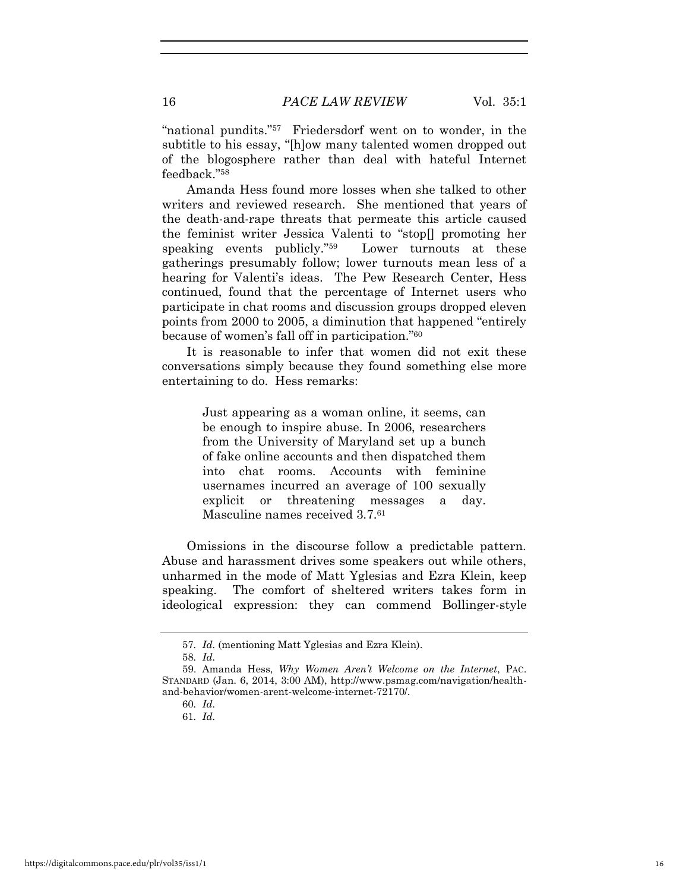"national pundits."<sup>57</sup> Friedersdorf went on to wonder, in the subtitle to his essay, "[h]ow many talented women dropped out of the blogosphere rather than deal with hateful Internet feedback."<sup>58</sup>

Amanda Hess found more losses when she talked to other writers and reviewed research. She mentioned that years of the death-and-rape threats that permeate this article caused the feminist writer Jessica Valenti to "stop[] promoting her speaking events publicly."<sup>59</sup> Lower turnouts at these gatherings presumably follow; lower turnouts mean less of a hearing for Valenti's ideas. The Pew Research Center, Hess continued, found that the percentage of Internet users who participate in chat rooms and discussion groups dropped eleven points from 2000 to 2005, a diminution that happened "entirely because of women's fall off in participation."<sup>60</sup>

It is reasonable to infer that women did not exit these conversations simply because they found something else more entertaining to do. Hess remarks:

> Just appearing as a woman online, it seems, can be enough to inspire abuse. In 2006, researchers from the University of Maryland set up a bunch of fake online accounts and then dispatched them into chat rooms. Accounts with feminine usernames incurred an average of 100 sexually explicit or threatening messages a day. Masculine names received 3.7.<sup>61</sup>

Omissions in the discourse follow a predictable pattern. Abuse and harassment drives some speakers out while others, unharmed in the mode of Matt Yglesias and Ezra Klein, keep speaking. The comfort of sheltered writers takes form in ideological expression: they can commend Bollinger-style

<sup>57</sup>*. Id.* (mentioning Matt Yglesias and Ezra Klein).

<sup>58</sup>*. Id.*

<sup>59.</sup> Amanda Hess, *Why Women Aren't Welcome on the Internet*, PAC. STANDARD (Jan. 6, 2014, 3:00 AM), http://www.psmag.com/navigation/healthand-behavior/women-arent-welcome-internet-72170/.

<sup>60</sup>*. Id.*

<sup>61</sup>*. Id.*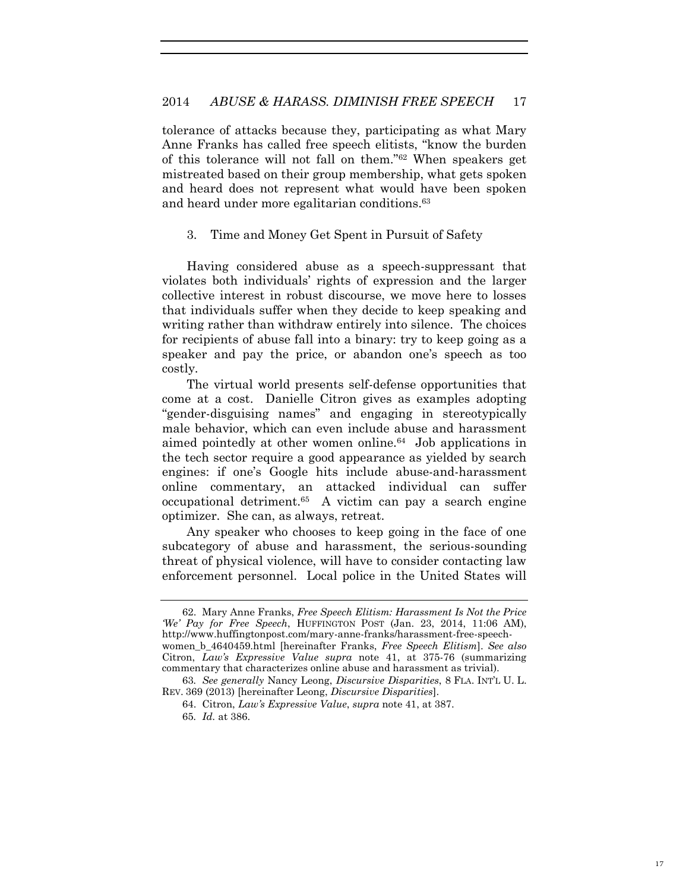tolerance of attacks because they, participating as what Mary Anne Franks has called free speech elitists, "know the burden of this tolerance will not fall on them."62 When speakers get mistreated based on their group membership, what gets spoken and heard does not represent what would have been spoken and heard under more egalitarian conditions.<sup>63</sup>

3. Time and Money Get Spent in Pursuit of Safety

Having considered abuse as a speech-suppressant that violates both individuals' rights of expression and the larger collective interest in robust discourse, we move here to losses that individuals suffer when they decide to keep speaking and writing rather than withdraw entirely into silence. The choices for recipients of abuse fall into a binary: try to keep going as a speaker and pay the price, or abandon one's speech as too costly.

The virtual world presents self-defense opportunities that come at a cost. Danielle Citron gives as examples adopting "gender-disguising names" and engaging in stereotypically male behavior, which can even include abuse and harassment aimed pointedly at other women online.<sup>64</sup> Job applications in the tech sector require a good appearance as yielded by search engines: if one's Google hits include abuse-and-harassment online commentary, an attacked individual can suffer occupational detriment.<sup>65</sup> A victim can pay a search engine optimizer. She can, as always, retreat.

Any speaker who chooses to keep going in the face of one subcategory of abuse and harassment, the serious-sounding threat of physical violence, will have to consider contacting law enforcement personnel. Local police in the United States will

<sup>62.</sup> Mary Anne Franks, *Free Speech Elitism: Harassment Is Not the Price 'We' Pay for Free Speech*, HUFFINGTON POST (Jan. 23, 2014, 11:06 AM), http://www.huffingtonpost.com/mary-anne-franks/harassment-free-speechwomen\_b\_4640459.html [hereinafter Franks, *Free Speech Elitism*]. *See also*

Citron, *Law's Expressive Value supra* note 41, at 375-76 (summarizing commentary that characterizes online abuse and harassment as trivial).

<sup>63</sup>*. See generally* Nancy Leong, *Discursive Disparities*, 8 FLA. INT'L U. L. REV. 369 (2013) [hereinafter Leong, *Discursive Disparities*].

<sup>64.</sup> Citron, *Law's Expressive Value*, *supra* note 41, at 387.

<sup>65</sup>*. Id.* at 386.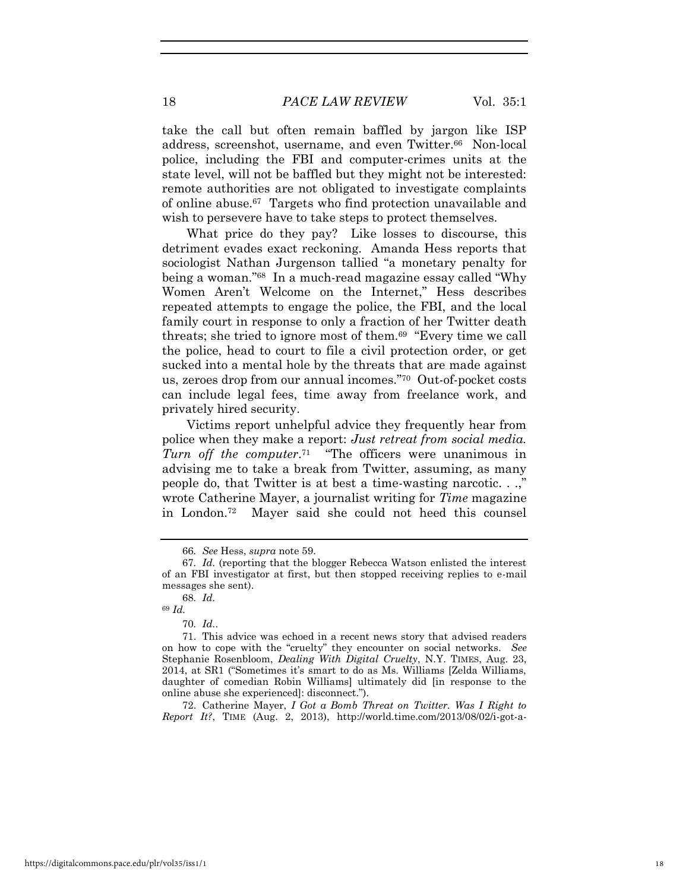#### 18 *PACE LAW REVIEW* Vol. 35:1

take the call but often remain baffled by jargon like ISP address, screenshot, username, and even Twitter.<sup>66</sup> Non-local police, including the FBI and computer-crimes units at the state level, will not be baffled but they might not be interested: remote authorities are not obligated to investigate complaints of online abuse.<sup>67</sup> Targets who find protection unavailable and wish to persevere have to take steps to protect themselves.

What price do they pay? Like losses to discourse, this detriment evades exact reckoning. Amanda Hess reports that sociologist Nathan Jurgenson tallied "a monetary penalty for being a woman."<sup>68</sup> In a much-read magazine essay called "Why Women Aren't Welcome on the Internet," Hess describes repeated attempts to engage the police, the FBI, and the local family court in response to only a fraction of her Twitter death threats; she tried to ignore most of them.<sup>69</sup> "Every time we call the police, head to court to file a civil protection order, or get sucked into a mental hole by the threats that are made against us, zeroes drop from our annual incomes."<sup>70</sup> Out-of-pocket costs can include legal fees, time away from freelance work, and privately hired security.

Victims report unhelpful advice they frequently hear from police when they make a report: *Just retreat from social media.*  Turn off the computer.<sup>71</sup> "The officers were unanimous in advising me to take a break from Twitter, assuming, as many people do, that Twitter is at best a time-wasting narcotic. . .," wrote Catherine Mayer, a journalist writing for *Time* magazine in London.<sup>72</sup> Mayer said she could not heed this counsel

72. Catherine Mayer, *I Got a Bomb Threat on Twitter. Was I Right to Report It?*, TIME (Aug. 2, 2013), http://world.time.com/2013/08/02/i-got-a-

<sup>66</sup>*. See* Hess, *supra* note 59.

<sup>67</sup>*. Id.* (reporting that the blogger Rebecca Watson enlisted the interest of an FBI investigator at first, but then stopped receiving replies to e-mail messages she sent).

<sup>68</sup>*. Id.* <sup>69</sup> *Id.*

<sup>70</sup>*. Id.*.

<sup>71.</sup> This advice was echoed in a recent news story that advised readers on how to cope with the "cruelty" they encounter on social networks. *See* Stephanie Rosenbloom, *Dealing With Digital Cruelty*, N.Y. TIMES, Aug. 23, 2014, at SR1 ("Sometimes it's smart to do as Ms. Williams [Zelda Williams, daughter of comedian Robin Williams] ultimately did [in response to the online abuse she experienced]: disconnect.").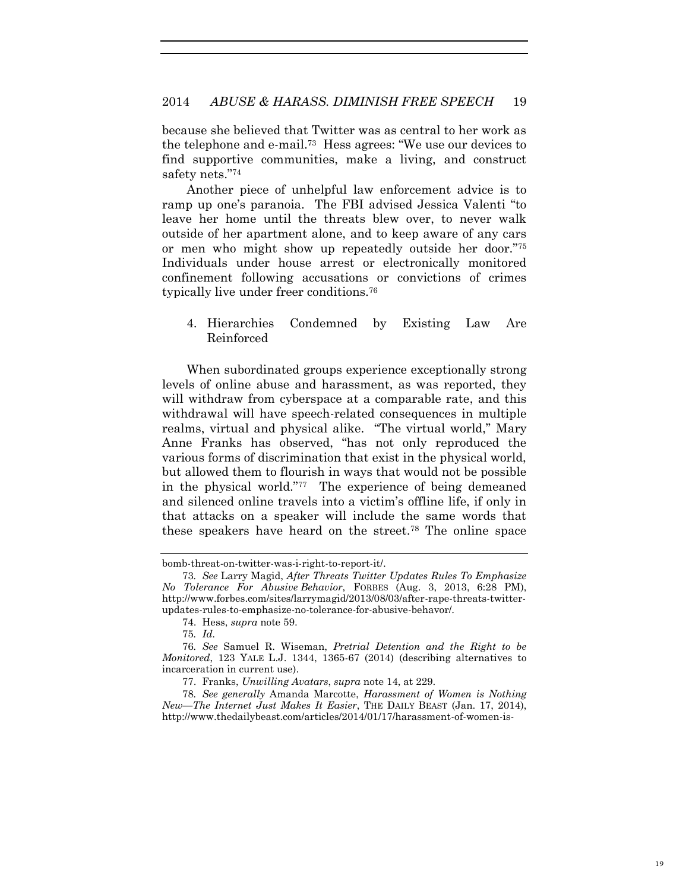because she believed that Twitter was as central to her work as the telephone and e-mail.<sup>73</sup> Hess agrees: "We use our devices to find supportive communities, make a living, and construct safety nets."<sup>74</sup>

Another piece of unhelpful law enforcement advice is to ramp up one's paranoia. The FBI advised Jessica Valenti "to leave her home until the threats blew over, to never walk outside of her apartment alone, and to keep aware of any cars or men who might show up repeatedly outside her door."<sup>75</sup> Individuals under house arrest or electronically monitored confinement following accusations or convictions of crimes typically live under freer conditions.<sup>76</sup>

## 4. Hierarchies Condemned by Existing Law Are Reinforced

When subordinated groups experience exceptionally strong levels of online abuse and harassment, as was reported, they will withdraw from cyberspace at a comparable rate, and this withdrawal will have speech-related consequences in multiple realms, virtual and physical alike. "The virtual world," Mary Anne Franks has observed, "has not only reproduced the various forms of discrimination that exist in the physical world, but allowed them to flourish in ways that would not be possible in the physical world."<sup>77</sup> The experience of being demeaned and silenced online travels into a victim's offline life, if only in that attacks on a speaker will include the same words that these speakers have heard on the street.78 The online space

bomb-threat-on-twitter-was-i-right-to-report-it/.

<sup>73</sup>*. See* Larry Magid, *After Threats Twitter Updates Rules To Emphasize No Tolerance For Abusive Behavior*, FORBES (Aug. 3, 2013, 6:28 PM), http://www.forbes.com/sites/larrymagid/2013/08/03/after-rape-threats-twitterupdates-rules-to-emphasize-no-tolerance-for-abusive-behavor/.

<sup>74.</sup> Hess, *supra* note 59.

<sup>75</sup>*. Id.*

<sup>76</sup>*. See* Samuel R. Wiseman, *Pretrial Detention and the Right to be Monitored*, 123 YALE L.J. 1344, 1365-67 (2014) (describing alternatives to incarceration in current use).

<sup>77.</sup> Franks, *Unwilling Avatars*, *supra* note 14, at 229.

<sup>78</sup>*. See generally* Amanda Marcotte, *Harassment of Women is Nothing New—The Internet Just Makes It Easier*, THE DAILY BEAST (Jan. 17, 2014), http://www.thedailybeast.com/articles/2014/01/17/harassment-of-women-is-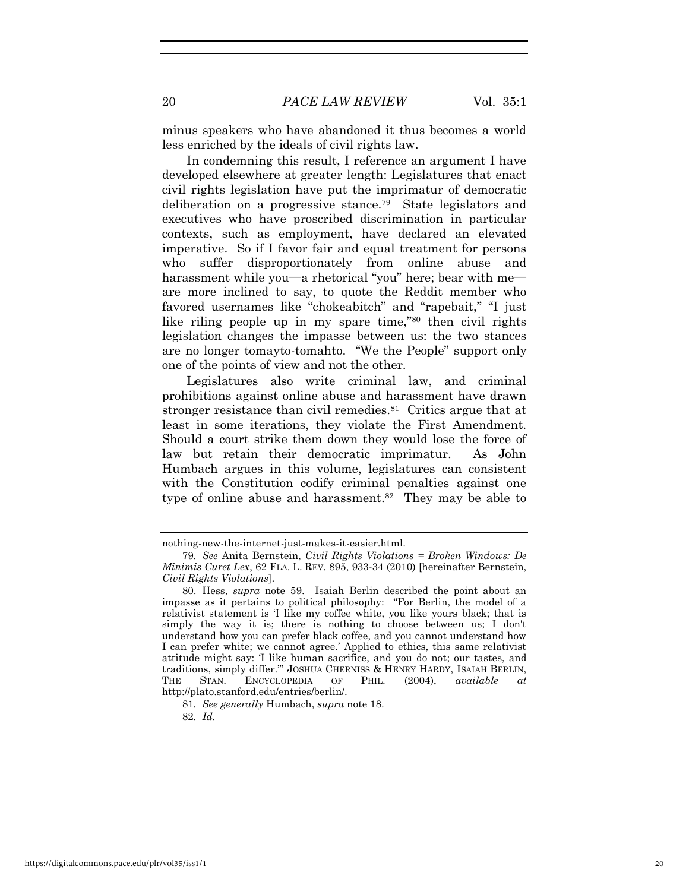minus speakers who have abandoned it thus becomes a world less enriched by the ideals of civil rights law.

In condemning this result, I reference an argument I have developed elsewhere at greater length: Legislatures that enact civil rights legislation have put the imprimatur of democratic deliberation on a progressive stance.<sup>79</sup> State legislators and executives who have proscribed discrimination in particular contexts, such as employment, have declared an elevated imperative. So if I favor fair and equal treatment for persons who suffer disproportionately from online abuse and harassment while you**—**a rhetorical "you" here; bear with me are more inclined to say, to quote the Reddit member who favored usernames like "chokeabitch" and "rapebait," "I just like riling people up in my spare time,"80 then civil rights legislation changes the impasse between us: the two stances are no longer tomayto-tomahto. "We the People" support only one of the points of view and not the other.

Legislatures also write criminal law, and criminal prohibitions against online abuse and harassment have drawn stronger resistance than civil remedies.<sup>81</sup> Critics argue that at least in some iterations, they violate the First Amendment. Should a court strike them down they would lose the force of law but retain their democratic imprimatur. As John Humbach argues in this volume, legislatures can consistent with the Constitution codify criminal penalties against one type of online abuse and harassment.<sup>82</sup> They may be able to

nothing-new-the-internet-just-makes-it-easier.html.

<sup>79</sup>*. See* Anita Bernstein, *Civil Rights Violations = Broken Windows: De Minimis Curet Lex*, 62 FLA. L. REV. 895, 933-34 (2010) [hereinafter Bernstein, *Civil Rights Violations*].

<sup>80.</sup> Hess, *supra* note 59. Isaiah Berlin described the point about an impasse as it pertains to political philosophy: "For Berlin, the model of a relativist statement is 'I like my coffee white, you like yours black; that is simply the way it is; there is nothing to choose between us; I don't understand how you can prefer black coffee, and you cannot understand how I can prefer white; we cannot agree.' Applied to ethics, this same relativist attitude might say: 'I like human sacrifice, and you do not; our tastes, and traditions, simply differ.'" JOSHUA CHERNISS & HENRY HARDY, ISAIAH BERLIN, THE STAN. ENCYCLOPEDIA OF PHIL. (2004), *available at* http://plato.stanford.edu/entries/berlin/.

<sup>81</sup>*. See generally* Humbach, *supra* note 18.

<sup>82</sup>*. Id.*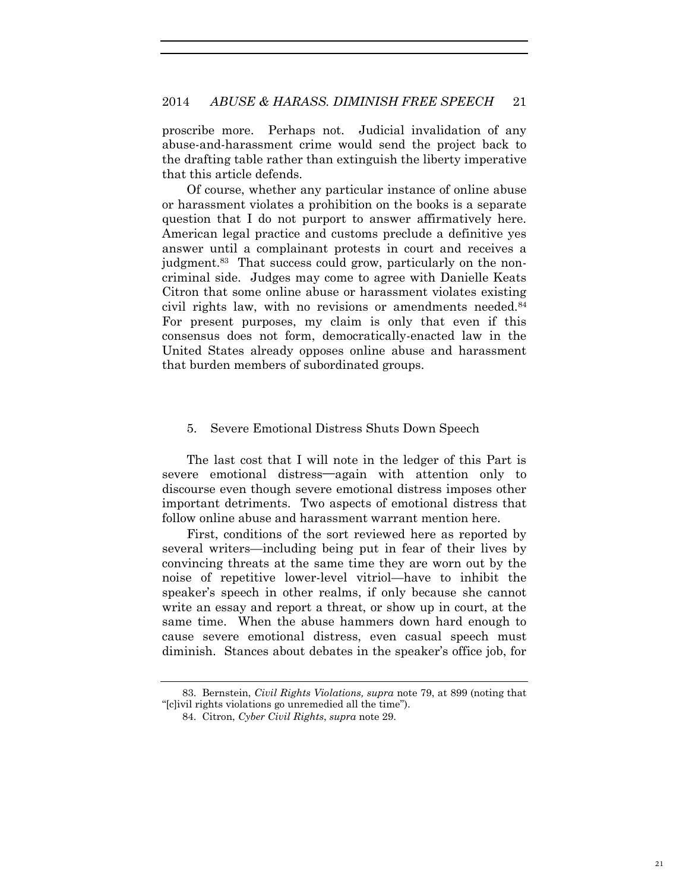proscribe more. Perhaps not. Judicial invalidation of any abuse-and-harassment crime would send the project back to the drafting table rather than extinguish the liberty imperative that this article defends.

Of course, whether any particular instance of online abuse or harassment violates a prohibition on the books is a separate question that I do not purport to answer affirmatively here. American legal practice and customs preclude a definitive yes answer until a complainant protests in court and receives a judgment.<sup>83</sup> That success could grow, particularly on the noncriminal side. Judges may come to agree with Danielle Keats Citron that some online abuse or harassment violates existing civil rights law, with no revisions or amendments needed.<sup>84</sup> For present purposes, my claim is only that even if this consensus does not form, democratically-enacted law in the United States already opposes online abuse and harassment that burden members of subordinated groups.

#### 5. Severe Emotional Distress Shuts Down Speech

The last cost that I will note in the ledger of this Part is severe emotional distress**—**again with attention only to discourse even though severe emotional distress imposes other important detriments. Two aspects of emotional distress that follow online abuse and harassment warrant mention here.

First, conditions of the sort reviewed here as reported by several writers—including being put in fear of their lives by convincing threats at the same time they are worn out by the noise of repetitive lower-level vitriol—have to inhibit the speaker's speech in other realms, if only because she cannot write an essay and report a threat, or show up in court, at the same time. When the abuse hammers down hard enough to cause severe emotional distress, even casual speech must diminish. Stances about debates in the speaker's office job, for

<sup>83.</sup> Bernstein, *Civil Rights Violations, supra* note 79, at 899 (noting that "[c]ivil rights violations go unremedied all the time").

<sup>84.</sup> Citron, *Cyber Civil Rights*, *supra* note 29.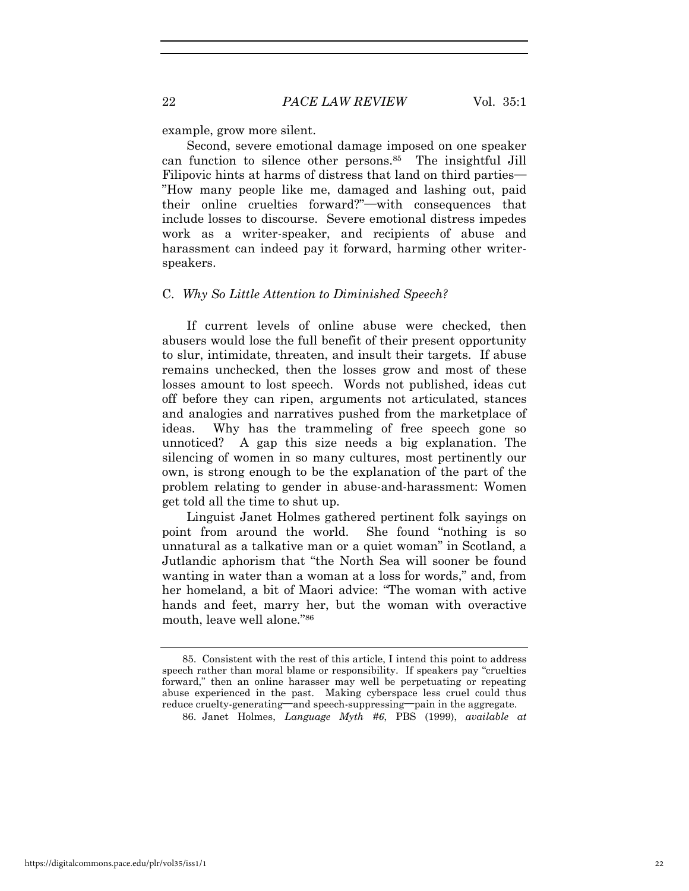example, grow more silent.

Second, severe emotional damage imposed on one speaker can function to silence other persons.<sup>85</sup> The insightful Jill Filipovic hints at harms of distress that land on third parties**—** "How many people like me, damaged and lashing out, paid their online cruelties forward?"**—**with consequences that include losses to discourse. Severe emotional distress impedes work as a writer-speaker, and recipients of abuse and harassment can indeed pay it forward, harming other writerspeakers.

#### C. *Why So Little Attention to Diminished Speech?*

If current levels of online abuse were checked, then abusers would lose the full benefit of their present opportunity to slur, intimidate, threaten, and insult their targets. If abuse remains unchecked, then the losses grow and most of these losses amount to lost speech. Words not published, ideas cut off before they can ripen, arguments not articulated, stances and analogies and narratives pushed from the marketplace of ideas. Why has the trammeling of free speech gone so unnoticed? A gap this size needs a big explanation. The silencing of women in so many cultures, most pertinently our own, is strong enough to be the explanation of the part of the problem relating to gender in abuse-and-harassment: Women get told all the time to shut up.

Linguist Janet Holmes gathered pertinent folk sayings on point from around the world. She found "nothing is so unnatural as a talkative man or a quiet woman" in Scotland, a Jutlandic aphorism that "the North Sea will sooner be found wanting in water than a woman at a loss for words," and, from her homeland, a bit of Maori advice: "The woman with active hands and feet, marry her, but the woman with overactive mouth, leave well alone."<sup>86</sup>

<sup>85.</sup> Consistent with the rest of this article, I intend this point to address speech rather than moral blame or responsibility. If speakers pay "cruelties forward," then an online harasser may well be perpetuating or repeating abuse experienced in the past. Making cyberspace less cruel could thus reduce cruelty-generating**—**and speech-suppressing**—**pain in the aggregate.

<sup>86.</sup> Janet Holmes, *Language Myth #6*, PBS (1999), *available at*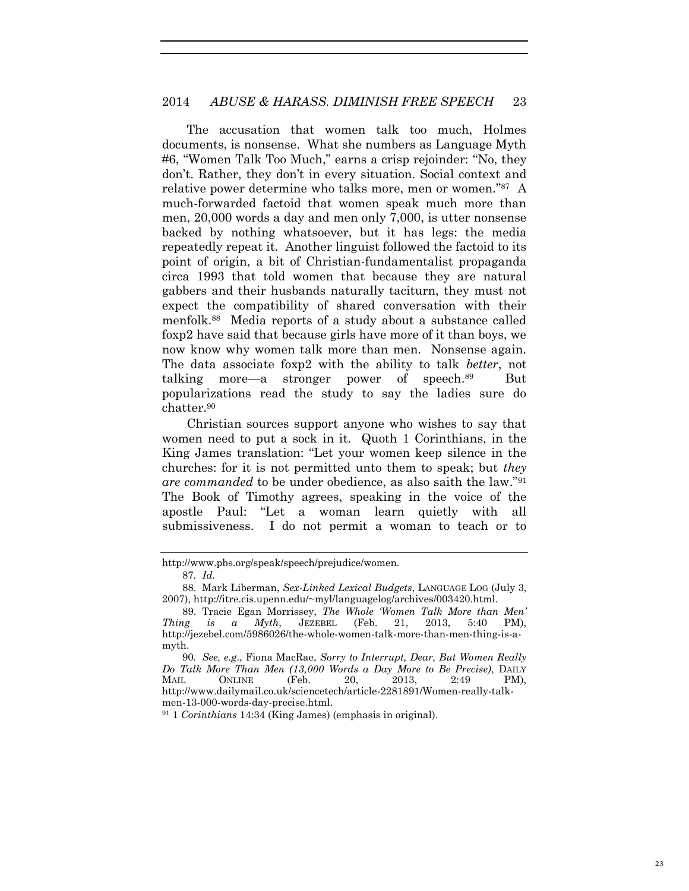The accusation that women talk too much, Holmes documents, is nonsense. What she numbers as Language Myth #6, "Women Talk Too Much," earns a crisp rejoinder: "No, they don't. Rather, they don't in every situation. Social context and relative power determine who talks more, men or women." 87 A much-forwarded factoid that women speak much more than men, 20,000 words a day and men only 7,000, is utter nonsense backed by nothing whatsoever, but it has legs: the media repeatedly repeat it. Another linguist followed the factoid to its point of origin, a bit of Christian-fundamentalist propaganda circa 1993 that told women that because they are natural gabbers and their husbands naturally taciturn, they must not expect the compatibility of shared conversation with their menfolk.<sup>88</sup> Media reports of a study about a substance called foxp2 have said that because girls have more of it than boys, we now know why women talk more than men. Nonsense again. The data associate foxp2 with the ability to talk *better*, not talking more—a stronger power of speech.<sup>89</sup> But popularizations read the study to say the ladies sure do chatter.<sup>90</sup>

Christian sources support anyone who wishes to say that women need to put a sock in it. Quoth 1 Corinthians, in the King James translation: "Let your women keep silence in the churches: for it is not permitted unto them to speak; but *they are commanded* to be under obedience, as also saith the law."<sup>91</sup> The Book of Timothy agrees, speaking in the voice of the apostle Paul: "Let a woman learn quietly with all submissiveness. I do not permit a woman to teach or to

http://www.pbs.org/speak/speech/prejudice/women.

<sup>87</sup>*. Id.*

<sup>88.</sup> Mark Liberman, *Sex-Linked Lexical Budgets*, LANGUAGE LOG (July 3, 2007), http://itre.cis.upenn.edu/~myl/languagelog/archives/003420.html.

<sup>89.</sup> Tracie Egan Morrissey, *The Whole 'Women Talk More than Men' Thing is a Myth*, JEZEBEL (Feb. 21, 2013, 5:40 PM), http://jezebel.com/5986026/the-whole-women-talk-more-than-men-thing-is-amyth.

<sup>90</sup>*. See, e.g*., Fiona MacRae, *Sorry to Interrupt, Dear, But Women Really Do Talk More Than Men (13,000 Words a Day More to Be Precise)*, DAILY MAIL ONLINE (Feb. 20, 2013, 2:49 PM), http://www.dailymail.co.uk/sciencetech/article-2281891/Women-really-talkmen-13-000-words-day-precise.html.

<sup>91</sup> 1 *Corinthians* 14:34 (King James) (emphasis in original).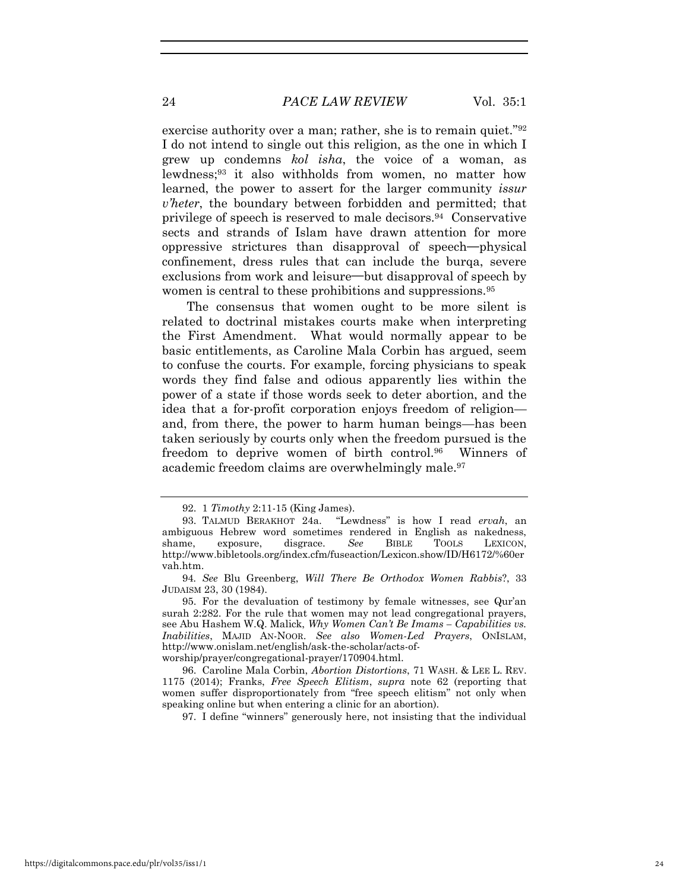#### 24 *PACE LAW REVIEW* Vol. 35:1

exercise authority over a man; rather, she is to remain quiet."92 I do not intend to single out this religion, as the one in which I grew up condemns *kol isha*, the voice of a woman, as lewdness;93 it also withholds from women, no matter how learned, the power to assert for the larger community *issur v'heter*, the boundary between forbidden and permitted; that privilege of speech is reserved to male decisors.94 Conservative sects and strands of Islam have drawn attention for more oppressive strictures than disapproval of speech**—**physical confinement, dress rules that can include the burqa, severe exclusions from work and leisure**—**but disapproval of speech by women is central to these prohibitions and suppressions.<sup>95</sup>

The consensus that women ought to be more silent is related to doctrinal mistakes courts make when interpreting the First Amendment. What would normally appear to be basic entitlements, as Caroline Mala Corbin has argued, seem to confuse the courts. For example, forcing physicians to speak words they find false and odious apparently lies within the power of a state if those words seek to deter abortion, and the idea that a for-profit corporation enjoys freedom of religion and, from there, the power to harm human beings—has been taken seriously by courts only when the freedom pursued is the freedom to deprive women of birth control.<sup>96</sup> Winners of academic freedom claims are overwhelmingly male.<sup>97</sup>

97. I define "winners" generously here, not insisting that the individual

<sup>92. 1</sup> *Timothy* 2:11-15 (King James).

<sup>93.</sup> TALMUD BERAKHOT 24a. "Lewdness" is how I read *ervah*, an ambiguous Hebrew word sometimes rendered in English as nakedness, shame, exposure, disgrace. *See* BIBLE TOOLS LEXICON, http://www.bibletools.org/index.cfm/fuseaction/Lexicon.show/ID/H6172/%60er vah.htm.

<sup>94</sup>*. See* Blu Greenberg, *Will There Be Orthodox Women Rabbis*?, 33 JUDAISM 23, 30 (1984).

<sup>95.</sup> For the devaluation of testimony by female witnesses, see Qur'an surah 2:282. For the rule that women may not lead congregational prayers, see Abu Hashem W.Q. Malick, *Why Women Can't Be Imams – Capabilities vs. Inabilities*, MAJID AN-NOOR. *See also Women-Led Prayers*, ONISLAM, http://www.onislam.net/english/ask-the-scholar/acts-of-

worship/prayer/congregational-prayer/170904.html.

<sup>96.</sup> Caroline Mala Corbin, *Abortion Distortions*, 71 WASH. & LEE L. REV. 1175 (2014); Franks, *Free Speech Elitism*, *supra* note 62 (reporting that women suffer disproportionately from "free speech elitism" not only when speaking online but when entering a clinic for an abortion).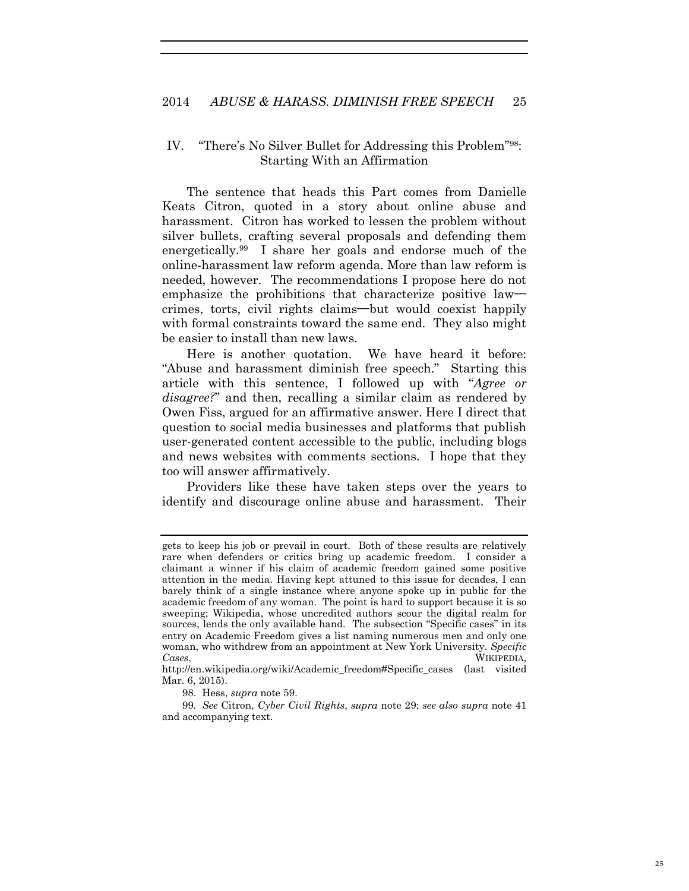#### IV. "There's No Silver Bullet for Addressing this Problem"98: Starting With an Affirmation

The sentence that heads this Part comes from Danielle Keats Citron, quoted in a story about online abuse and harassment. Citron has worked to lessen the problem without silver bullets, crafting several proposals and defending them energetically.<sup>99</sup> I share her goals and endorse much of the online-harassment law reform agenda. More than law reform is needed, however. The recommendations I propose here do not emphasize the prohibitions that characterize positive law crimes, torts, civil rights claims**—**but would coexist happily with formal constraints toward the same end. They also might be easier to install than new laws.

Here is another quotation. We have heard it before: "Abuse and harassment diminish free speech." Starting this article with this sentence, I followed up with "*Agree or disagree?*" and then, recalling a similar claim as rendered by Owen Fiss, argued for an affirmative answer. Here I direct that question to social media businesses and platforms that publish user-generated content accessible to the public, including blogs and news websites with comments sections. I hope that they too will answer affirmatively.

Providers like these have taken steps over the years to identify and discourage online abuse and harassment. Their

98. Hess, *supra* note 59.

99*. See* Citron, *Cyber Civil Rights*, *supra* note 29; *see also supra* note 41 and accompanying text.

gets to keep his job or prevail in court. Both of these results are relatively rare when defenders or critics bring up academic freedom. I consider a claimant a winner if his claim of academic freedom gained some positive attention in the media. Having kept attuned to this issue for decades, I can barely think of a single instance where anyone spoke up in public for the academic freedom of any woman. The point is hard to support because it is so sweeping; Wikipedia, whose uncredited authors scour the digital realm for sources, lends the only available hand. The subsection "Specific cases" in its entry on Academic Freedom gives a list naming numerous men and only one woman, who withdrew from an appointment at New York University. *Specific Cases*, WIKIPEDIA,

http://en.wikipedia.org/wiki/Academic\_freedom#Specific\_cases (last visited Mar. 6, 2015).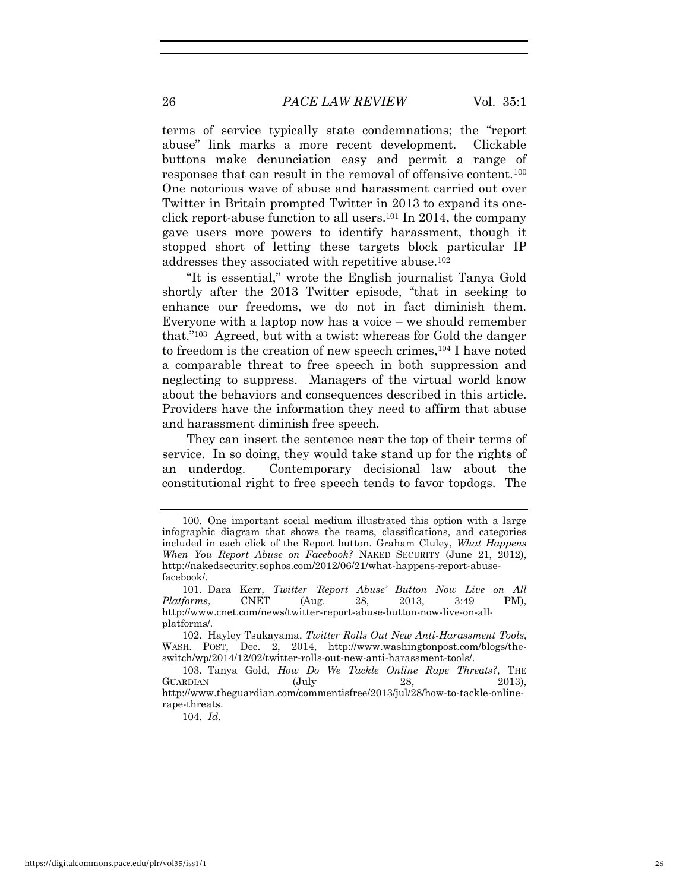terms of service typically state condemnations; the "report abuse" link marks a more recent development. Clickable buttons make denunciation easy and permit a range of responses that can result in the removal of offensive content.<sup>100</sup> One notorious wave of abuse and harassment carried out over Twitter in Britain prompted Twitter in 2013 to expand its oneclick report-abuse function to all users.101 In 2014, the company gave users more powers to identify harassment, though it stopped short of letting these targets block particular IP addresses they associated with repetitive abuse.<sup>102</sup>

"It is essential," wrote the English journalist Tanya Gold shortly after the 2013 Twitter episode, "that in seeking to enhance our freedoms, we do not in fact diminish them. Everyone with a laptop now has a voice – we should remember that."<sup>103</sup> Agreed, but with a twist: whereas for Gold the danger to freedom is the creation of new speech crimes,<sup>104</sup> I have noted a comparable threat to free speech in both suppression and neglecting to suppress. Managers of the virtual world know about the behaviors and consequences described in this article. Providers have the information they need to affirm that abuse and harassment diminish free speech.

They can insert the sentence near the top of their terms of service. In so doing, they would take stand up for the rights of an underdog. Contemporary decisional law about the constitutional right to free speech tends to favor topdogs. The

104*. Id.*

<sup>100.</sup> One important social medium illustrated this option with a large infographic diagram that shows the teams, classifications, and categories included in each click of the Report button. Graham Cluley, *What Happens When You Report Abuse on Facebook?* NAKED SECURITY (June 21, 2012), http://nakedsecurity.sophos.com/2012/06/21/what-happens-report-abusefacebook/.

<sup>101.</sup> Dara Kerr, *Twitter 'Report Abuse' Button Now Live on All Platforms*, CNET (Aug. 28, 2013, 3:49 PM), http://www.cnet.com/news/twitter-report-abuse-button-now-live-on-allplatforms/.

<sup>102.</sup> Hayley Tsukayama, *Twitter Rolls Out New Anti-Harassment Tools*, WASH. POST, Dec. 2, 2014, http://www.washingtonpost.com/blogs/theswitch/wp/2014/12/02/twitter-rolls-out-new-anti-harassment-tools/.

<sup>103.</sup> Tanya Gold, *How Do We Tackle Online Rape Threats?*, THE GUARDIAN (July 28, 2013), http://www.theguardian.com/commentisfree/2013/jul/28/how-to-tackle-onlinerape-threats.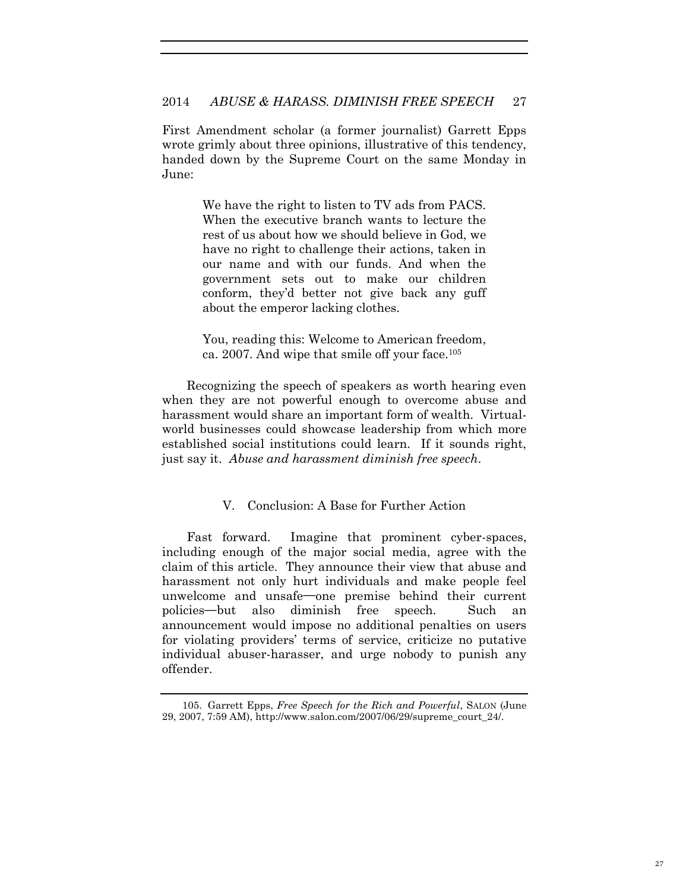First Amendment scholar (a former journalist) Garrett Epps wrote grimly about three opinions, illustrative of this tendency, handed down by the Supreme Court on the same Monday in June:

> We have the right to listen to TV ads from PACS. When the executive branch wants to lecture the rest of us about how we should believe in God, we have no right to challenge their actions, taken in our name and with our funds. And when the government sets out to make our children conform, they'd better not give back any guff about the emperor lacking clothes.

> You, reading this: Welcome to American freedom, ca. 2007. And wipe that smile off your face.<sup>105</sup>

Recognizing the speech of speakers as worth hearing even when they are not powerful enough to overcome abuse and harassment would share an important form of wealth. Virtualworld businesses could showcase leadership from which more established social institutions could learn. If it sounds right, just say it. *Abuse and harassment diminish free speech*.

## V. Conclusion: A Base for Further Action

Fast forward. Imagine that prominent cyber-spaces, including enough of the major social media, agree with the claim of this article. They announce their view that abuse and harassment not only hurt individuals and make people feel unwelcome and unsafe**—**one premise behind their current policies**—**but also diminish free speech. Such an announcement would impose no additional penalties on users for violating providers' terms of service, criticize no putative individual abuser-harasser, and urge nobody to punish any offender.

<sup>105.</sup> Garrett Epps, *Free Speech for the Rich and Powerful*, SALON (June 29, 2007, 7:59 AM), http://www.salon.com/2007/06/29/supreme\_court\_24/.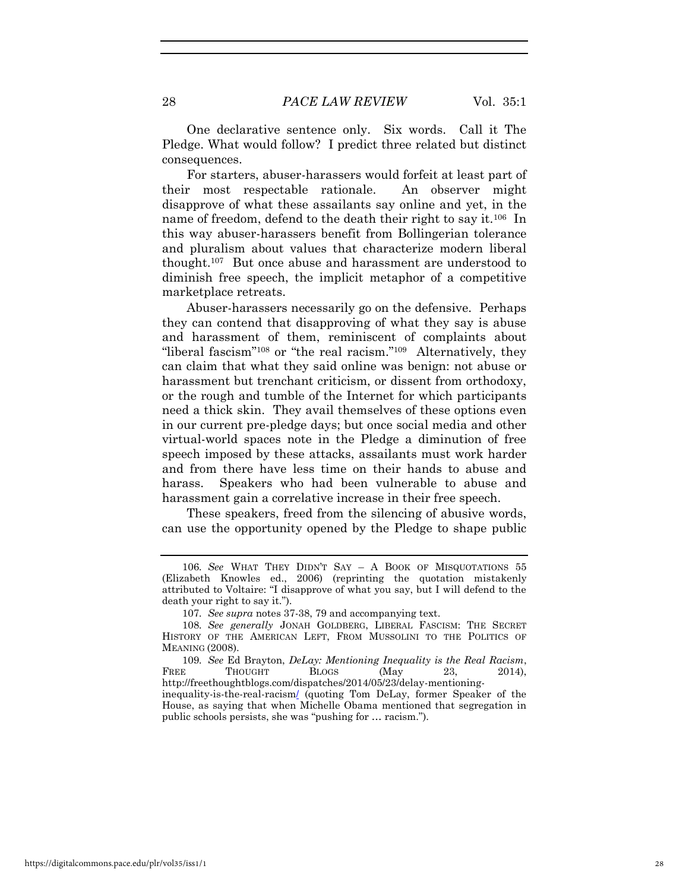One declarative sentence only. Six words. Call it The Pledge. What would follow? I predict three related but distinct consequences.

For starters, abuser-harassers would forfeit at least part of their most respectable rationale. An observer might disapprove of what these assailants say online and yet, in the name of freedom, defend to the death their right to say it.<sup>106</sup> In this way abuser-harassers benefit from Bollingerian tolerance and pluralism about values that characterize modern liberal thought.<sup>107</sup> But once abuse and harassment are understood to diminish free speech, the implicit metaphor of a competitive marketplace retreats.

Abuser-harassers necessarily go on the defensive. Perhaps they can contend that disapproving of what they say is abuse and harassment of them, reminiscent of complaints about "liberal fascism"<sup>108</sup> or "the real racism."<sup>109</sup> Alternatively, they can claim that what they said online was benign: not abuse or harassment but trenchant criticism, or dissent from orthodoxy, or the rough and tumble of the Internet for which participants need a thick skin. They avail themselves of these options even in our current pre-pledge days; but once social media and other virtual-world spaces note in the Pledge a diminution of free speech imposed by these attacks, assailants must work harder and from there have less time on their hands to abuse and harass. Speakers who had been vulnerable to abuse and harassment gain a correlative increase in their free speech.

These speakers, freed from the silencing of abusive words, can use the opportunity opened by the Pledge to shape public

<sup>106</sup>*. See* WHAT THEY DIDN'T SAY – A BOOK OF MISQUOTATIONS 55 (Elizabeth Knowles ed., 2006) (reprinting the quotation mistakenly attributed to Voltaire: "I disapprove of what you say, but I will defend to the death your right to say it.").

<sup>107</sup>*. See supra* notes 37-38, 79 and accompanying text.

<sup>108</sup>*. See generally* JONAH GOLDBERG, LIBERAL FASCISM: THE SECRET HISTORY OF THE AMERICAN LEFT, FROM MUSSOLINI TO THE POLITICS OF MEANING (2008).

<sup>109</sup>*. See* Ed Brayton, *DeLay: Mentioning Inequality is the Real Racism*, FREE THOUGHT BLOGS (May 23, 2014). http://freethoughtblogs.com/dispatches/2014/05/23/delay-mentioninginequality-is-the-real-racism/ (quoting Tom DeLay, former Speaker of the House, as saying that when Michelle Obama mentioned that segregation in public schools persists, she was "pushing for … racism.").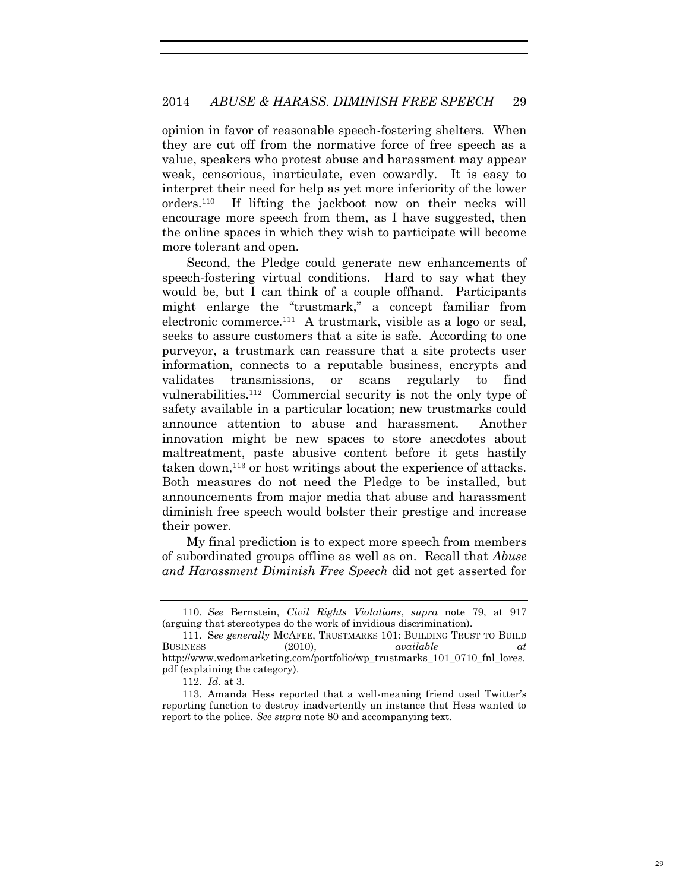opinion in favor of reasonable speech-fostering shelters. When they are cut off from the normative force of free speech as a value, speakers who protest abuse and harassment may appear weak, censorious, inarticulate, even cowardly. It is easy to interpret their need for help as yet more inferiority of the lower orders.<sup>110</sup> If lifting the jackboot now on their necks will encourage more speech from them, as I have suggested, then the online spaces in which they wish to participate will become more tolerant and open.

Second, the Pledge could generate new enhancements of speech-fostering virtual conditions. Hard to say what they would be, but I can think of a couple offhand. Participants might enlarge the "trustmark," a concept familiar from electronic commerce.<sup>111</sup> A trustmark, visible as a logo or seal, seeks to assure customers that a site is safe. According to one purveyor, a trustmark can reassure that a site protects user information, connects to a reputable business, encrypts and validates transmissions, or scans regularly to find vulnerabilities.<sup>112</sup> Commercial security is not the only type of safety available in a particular location; new trustmarks could announce attention to abuse and harassment. Another innovation might be new spaces to store anecdotes about maltreatment, paste abusive content before it gets hastily taken down,113 or host writings about the experience of attacks. Both measures do not need the Pledge to be installed, but announcements from major media that abuse and harassment diminish free speech would bolster their prestige and increase their power.

My final prediction is to expect more speech from members of subordinated groups offline as well as on. Recall that *Abuse and Harassment Diminish Free Speech* did not get asserted for

<sup>110</sup>*. See* Bernstein, *Civil Rights Violations*, *supra* note 79, at 917 (arguing that stereotypes do the work of invidious discrimination).

<sup>111.</sup> S*ee generally* MCAFEE, TRUSTMARKS 101: BUILDING TRUST TO BUILD BUSINESS (2010), *available at* http://www.wedomarketing.com/portfolio/wp\_trustmarks\_101\_0710\_fnl\_lores. pdf (explaining the category).

<sup>112</sup>*. Id.* at 3.

<sup>113.</sup> Amanda Hess reported that a well-meaning friend used Twitter's reporting function to destroy inadvertently an instance that Hess wanted to report to the police. *See supra* note 80 and accompanying text.